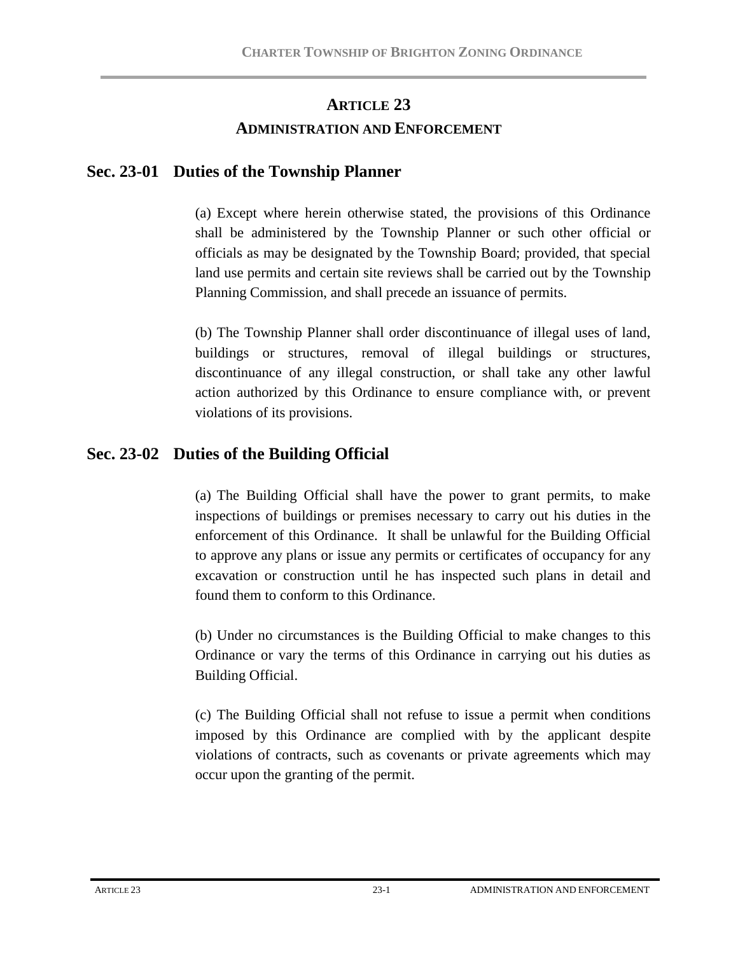# **ARTICLE 23 ADMINISTRATION AND ENFORCEMENT**

## **Sec. 23-01 Duties of the Township Planner**

(a) Except where herein otherwise stated, the provisions of this Ordinance shall be administered by the Township Planner or such other official or officials as may be designated by the Township Board; provided, that special land use permits and certain site reviews shall be carried out by the Township Planning Commission, and shall precede an issuance of permits.

(b) The Township Planner shall order discontinuance of illegal uses of land, buildings or structures, removal of illegal buildings or structures, discontinuance of any illegal construction, or shall take any other lawful action authorized by this Ordinance to ensure compliance with, or prevent violations of its provisions.

## **Sec. 23-02 Duties of the Building Official**

(a) The Building Official shall have the power to grant permits, to make inspections of buildings or premises necessary to carry out his duties in the enforcement of this Ordinance. It shall be unlawful for the Building Official to approve any plans or issue any permits or certificates of occupancy for any excavation or construction until he has inspected such plans in detail and found them to conform to this Ordinance.

(b) Under no circumstances is the Building Official to make changes to this Ordinance or vary the terms of this Ordinance in carrying out his duties as Building Official.

(c) The Building Official shall not refuse to issue a permit when conditions imposed by this Ordinance are complied with by the applicant despite violations of contracts, such as covenants or private agreements which may occur upon the granting of the permit.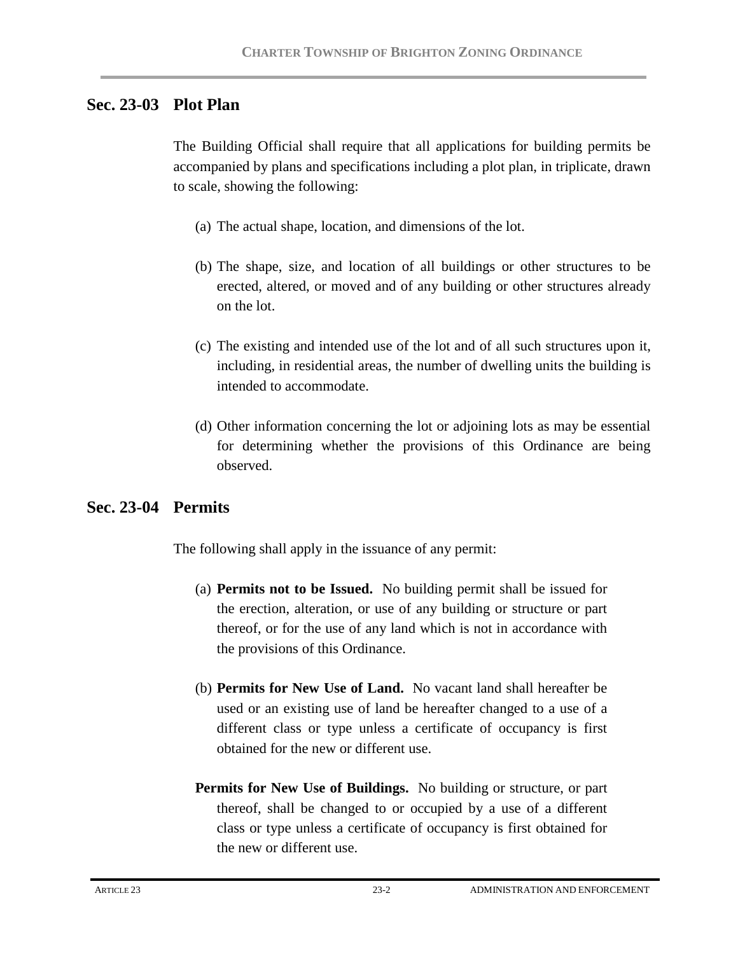## **Sec. 23-03 Plot Plan**

The Building Official shall require that all applications for building permits be accompanied by plans and specifications including a plot plan, in triplicate, drawn to scale, showing the following:

- (a) The actual shape, location, and dimensions of the lot.
- (b) The shape, size, and location of all buildings or other structures to be erected, altered, or moved and of any building or other structures already on the lot.
- (c) The existing and intended use of the lot and of all such structures upon it, including, in residential areas, the number of dwelling units the building is intended to accommodate.
- (d) Other information concerning the lot or adjoining lots as may be essential for determining whether the provisions of this Ordinance are being observed.

## **Sec. 23-04 Permits**

The following shall apply in the issuance of any permit:

- (a) **Permits not to be Issued.** No building permit shall be issued for the erection, alteration, or use of any building or structure or part thereof, or for the use of any land which is not in accordance with the provisions of this Ordinance.
- (b) **Permits for New Use of Land.** No vacant land shall hereafter be used or an existing use of land be hereafter changed to a use of a different class or type unless a certificate of occupancy is first obtained for the new or different use.
- **Permits for New Use of Buildings.** No building or structure, or part thereof, shall be changed to or occupied by a use of a different class or type unless a certificate of occupancy is first obtained for the new or different use.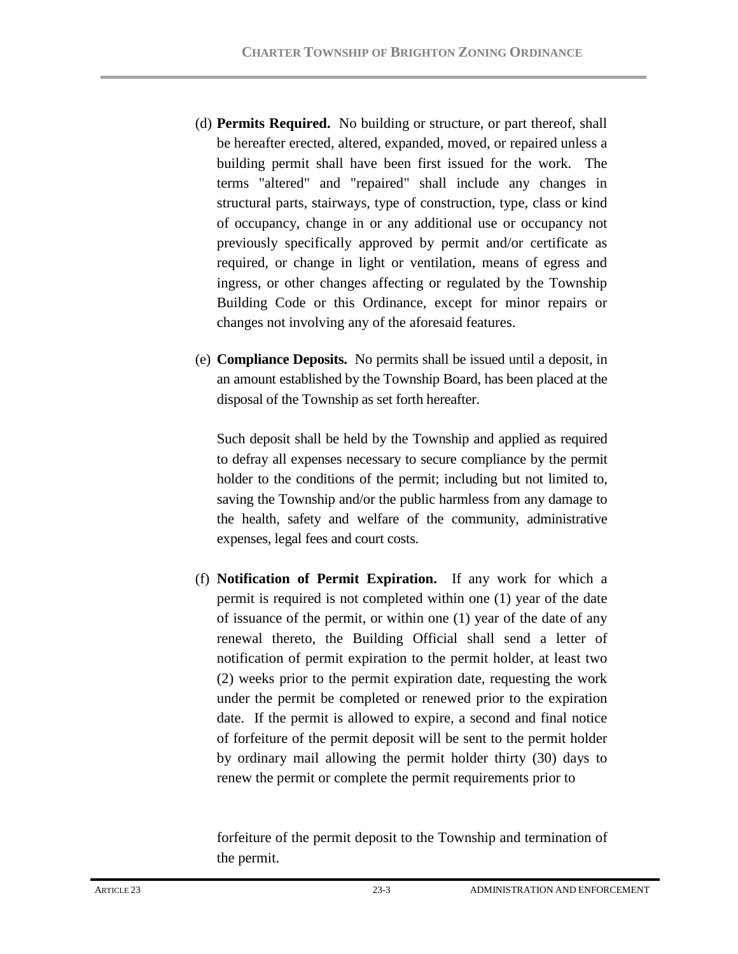- (d) **Permits Required.** No building or structure, or part thereof, shall be hereafter erected, altered, expanded, moved, or repaired unless a building permit shall have been first issued for the work. The terms "altered" and "repaired" shall include any changes in structural parts, stairways, type of construction, type, class or kind of occupancy, change in or any additional use or occupancy not previously specifically approved by permit and/or certificate as required, or change in light or ventilation, means of egress and ingress, or other changes affecting or regulated by the Township Building Code or this Ordinance, except for minor repairs or changes not involving any of the aforesaid features.
- (e) **Compliance Deposits.** No permits shall be issued until a deposit, in an amount established by the Township Board, has been placed at the disposal of the Township as set forth hereafter.

Such deposit shall be held by the Township and applied as required to defray all expenses necessary to secure compliance by the permit holder to the conditions of the permit; including but not limited to, saving the Township and/or the public harmless from any damage to the health, safety and welfare of the community, administrative expenses, legal fees and court costs.

(f) **Notification of Permit Expiration.** If any work for which a permit is required is not completed within one (1) year of the date of issuance of the permit, or within one (1) year of the date of any renewal thereto, the Building Official shall send a letter of notification of permit expiration to the permit holder, at least two (2) weeks prior to the permit expiration date, requesting the work under the permit be completed or renewed prior to the expiration date. If the permit is allowed to expire, a second and final notice of forfeiture of the permit deposit will be sent to the permit holder by ordinary mail allowing the permit holder thirty (30) days to renew the permit or complete the permit requirements prior to

forfeiture of the permit deposit to the Township and termination of the permit.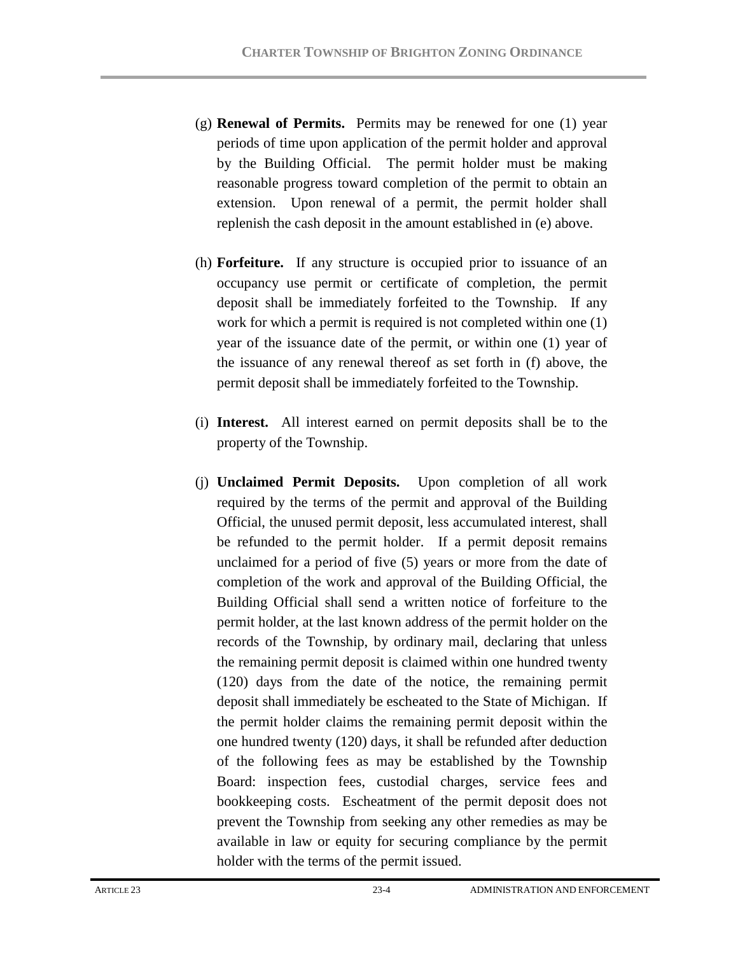- (g) **Renewal of Permits.** Permits may be renewed for one (1) year periods of time upon application of the permit holder and approval by the Building Official. The permit holder must be making reasonable progress toward completion of the permit to obtain an extension. Upon renewal of a permit, the permit holder shall replenish the cash deposit in the amount established in (e) above.
- (h) **Forfeiture.** If any structure is occupied prior to issuance of an occupancy use permit or certificate of completion, the permit deposit shall be immediately forfeited to the Township. If any work for which a permit is required is not completed within one (1) year of the issuance date of the permit, or within one (1) year of the issuance of any renewal thereof as set forth in (f) above, the permit deposit shall be immediately forfeited to the Township.
- (i) **Interest.** All interest earned on permit deposits shall be to the property of the Township.
- (j) **Unclaimed Permit Deposits.** Upon completion of all work required by the terms of the permit and approval of the Building Official, the unused permit deposit, less accumulated interest, shall be refunded to the permit holder. If a permit deposit remains unclaimed for a period of five (5) years or more from the date of completion of the work and approval of the Building Official, the Building Official shall send a written notice of forfeiture to the permit holder, at the last known address of the permit holder on the records of the Township, by ordinary mail, declaring that unless the remaining permit deposit is claimed within one hundred twenty (120) days from the date of the notice, the remaining permit deposit shall immediately be escheated to the State of Michigan. If the permit holder claims the remaining permit deposit within the one hundred twenty (120) days, it shall be refunded after deduction of the following fees as may be established by the Township Board: inspection fees, custodial charges, service fees and bookkeeping costs. Escheatment of the permit deposit does not prevent the Township from seeking any other remedies as may be available in law or equity for securing compliance by the permit holder with the terms of the permit issued.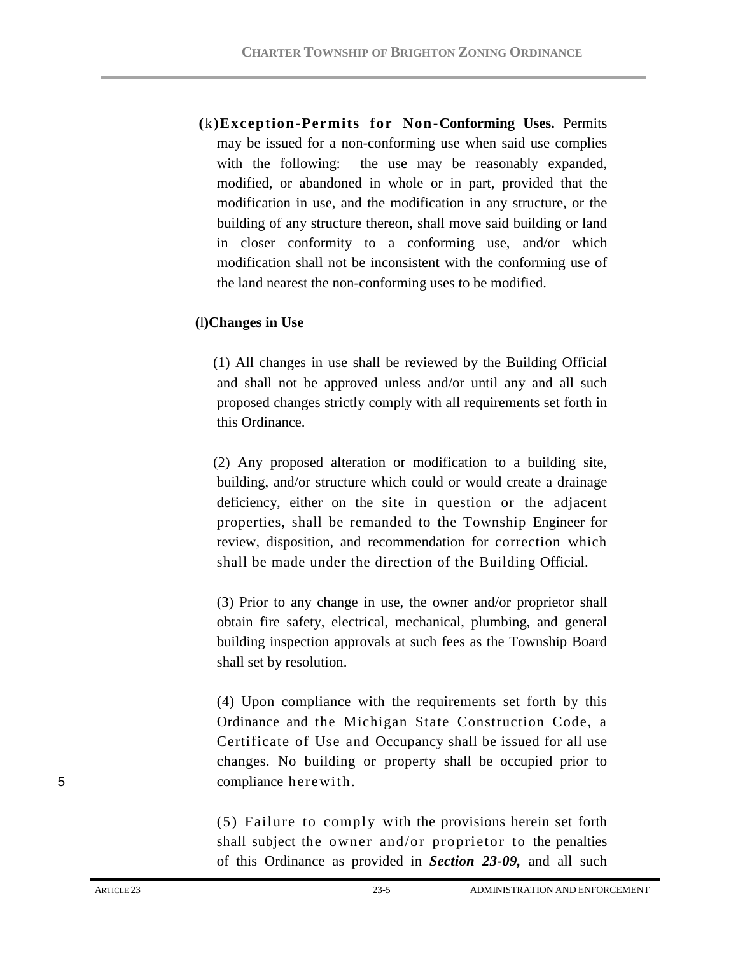**(**k**)Exception-Permits for Non-Conforming Uses.** Permits may be issued for a non-conforming use when said use complies with the following: the use may be reasonably expanded, modified, or abandoned in whole or in part, provided that the modification in use, and the modification in any structure, or the building of any structure thereon, shall move said building or land in closer conformity to a conforming use, and/or which modification shall not be inconsistent with the conforming use of the land nearest the non-conforming uses to be modified.

### **(**l**)Changes in Use**

 (1) All changes in use shall be reviewed by the Building Official and shall not be approved unless and/or until any and all such proposed changes strictly comply with all requirements set forth in this Ordinance.

 (2) Any proposed alteration or modification to a building site, building, and/or structure which could or would create a drainage deficiency, either on the site in question or the adjacent properties, shall be remanded to the Township Engineer for review, disposition, and recommendation for correction which shall be made under the direction of the Building Official.

(3) Prior to any change in use, the owner and/or proprietor shall obtain fire safety, electrical, mechanical, plumbing, and general building inspection approvals at such fees as the Township Board shall set by resolution.

(4) Upon compliance with the requirements set forth by this Ordinance and the Michigan State Construction Code, a Certificate of Use and Occupancy shall be issued for all use changes. No building or property shall be occupied prior to 5 compliance herewith.

> (5) Failure to comply with the provisions herein set forth shall subject the owner and/or proprietor to the penalties of this Ordinance as provided in *Section 23-09,* and all such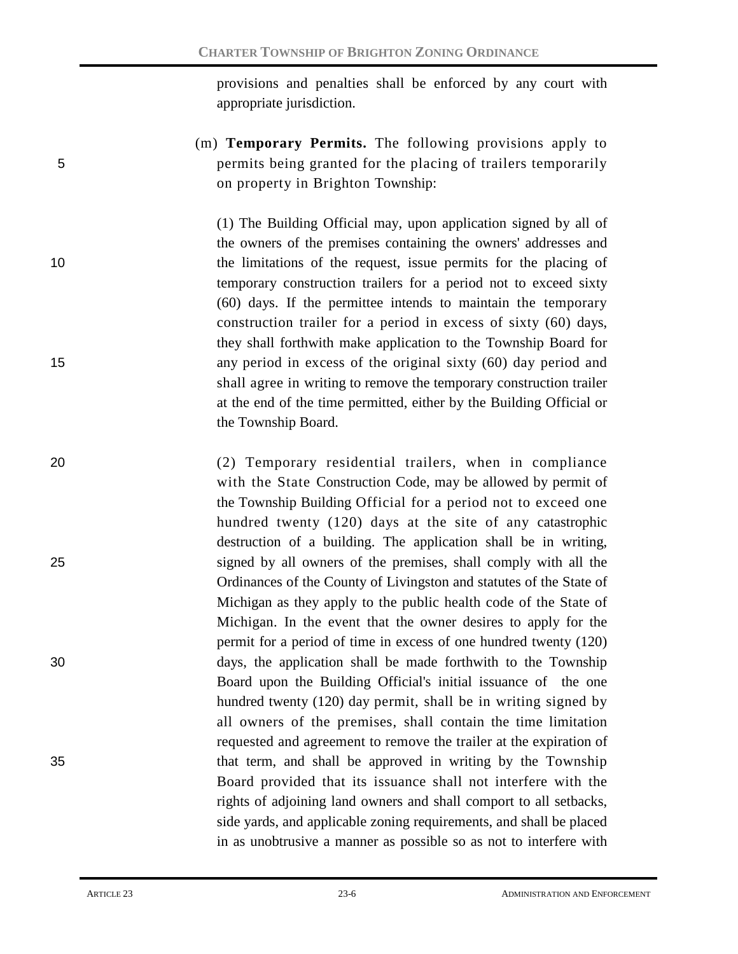provisions and penalties shall be enforced by any court with appropriate jurisdiction.

(m) **Temporary Permits.** The following provisions apply to 5 permits being granted for the placing of trailers temporarily on property in Brighton Township:

(1) The Building Official may, upon application signed by all of the owners of the premises containing the owners' addresses and 10 the limitations of the request, issue permits for the placing of temporary construction trailers for a period not to exceed sixty (60) days. If the permittee intends to maintain the temporary construction trailer for a period in excess of sixty (60) days, they shall forthwith make application to the Township Board for 15 any period in excess of the original sixty (60) day period and shall agree in writing to remove the temporary construction trailer at the end of the time permitted, either by the Building Official or the Township Board.

20 (2) Temporary residential trailers, when in compliance with the State Construction Code, may be allowed by permit of the Township Building Official for a period not to exceed one hundred twenty (120) days at the site of any catastrophic destruction of a building. The application shall be in writing, 25 signed by all owners of the premises, shall comply with all the Ordinances of the County of Livingston and statutes of the State of Michigan as they apply to the public health code of the State of Michigan. In the event that the owner desires to apply for the permit for a period of time in excess of one hundred twenty (120) 30 days, the application shall be made forthwith to the Township Board upon the Building Official's initial issuance of the one hundred twenty (120) day permit, shall be in writing signed by all owners of the premises, shall contain the time limitation requested and agreement to remove the trailer at the expiration of 35 that term, and shall be approved in writing by the Township Board provided that its issuance shall not interfere with the rights of adjoining land owners and shall comport to all setbacks, side yards, and applicable zoning requirements, and shall be placed in as unobtrusive a manner as possible so as not to interfere with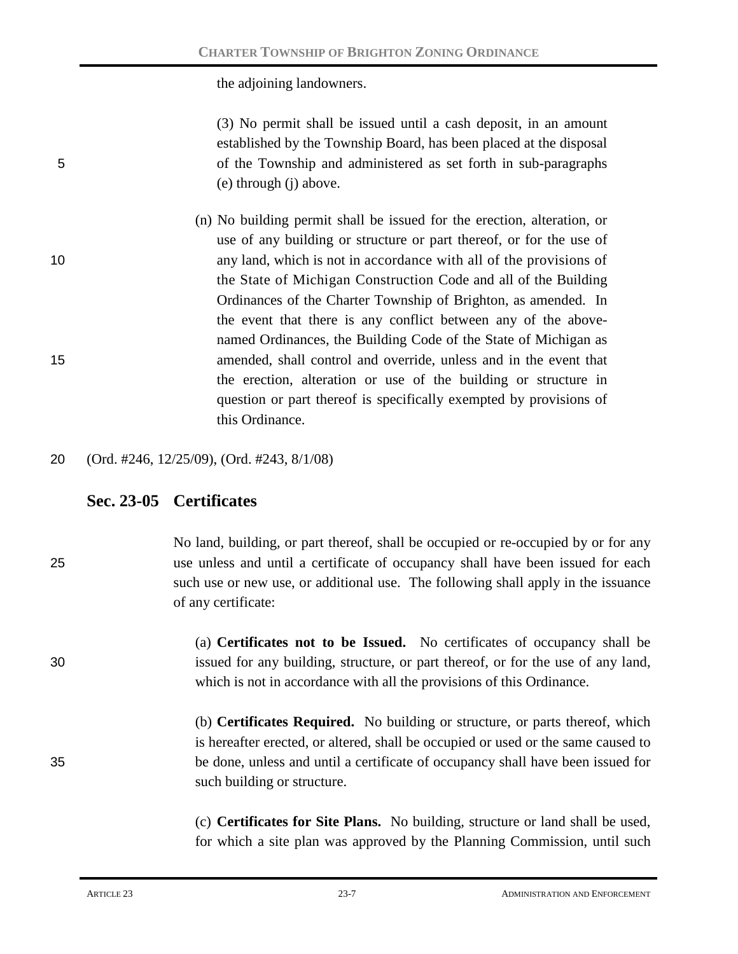the adjoining landowners.

(3) No permit shall be issued until a cash deposit, in an amount established by the Township Board, has been placed at the disposal 5 of the Township and administered as set forth in sub-paragraphs (e) through (j) above.

- (n) No building permit shall be issued for the erection, alteration, or use of any building or structure or part thereof, or for the use of 10 any land, which is not in accordance with all of the provisions of the State of Michigan Construction Code and all of the Building Ordinances of the Charter Township of Brighton, as amended. In the event that there is any conflict between any of the abovenamed Ordinances, the Building Code of the State of Michigan as 15 amended, shall control and override, unless and in the event that the erection, alteration or use of the building or structure in question or part thereof is specifically exempted by provisions of this Ordinance.
- 20 (Ord. #246, 12/25/09), (Ord. #243, 8/1/08)

# **Sec. 23-05 Certificates**

No land, building, or part thereof, shall be occupied or re-occupied by or for any 25 use unless and until a certificate of occupancy shall have been issued for each such use or new use, or additional use. The following shall apply in the issuance of any certificate:

(a) **Certificates not to be Issued.** No certificates of occupancy shall be 30 issued for any building, structure, or part thereof, or for the use of any land, which is not in accordance with all the provisions of this Ordinance.

(b) **Certificates Required.** No building or structure, or parts thereof, which is hereafter erected, or altered, shall be occupied or used or the same caused to 35 be done, unless and until a certificate of occupancy shall have been issued for such building or structure.

> (c) **Certificates for Site Plans.** No building, structure or land shall be used, for which a site plan was approved by the Planning Commission, until such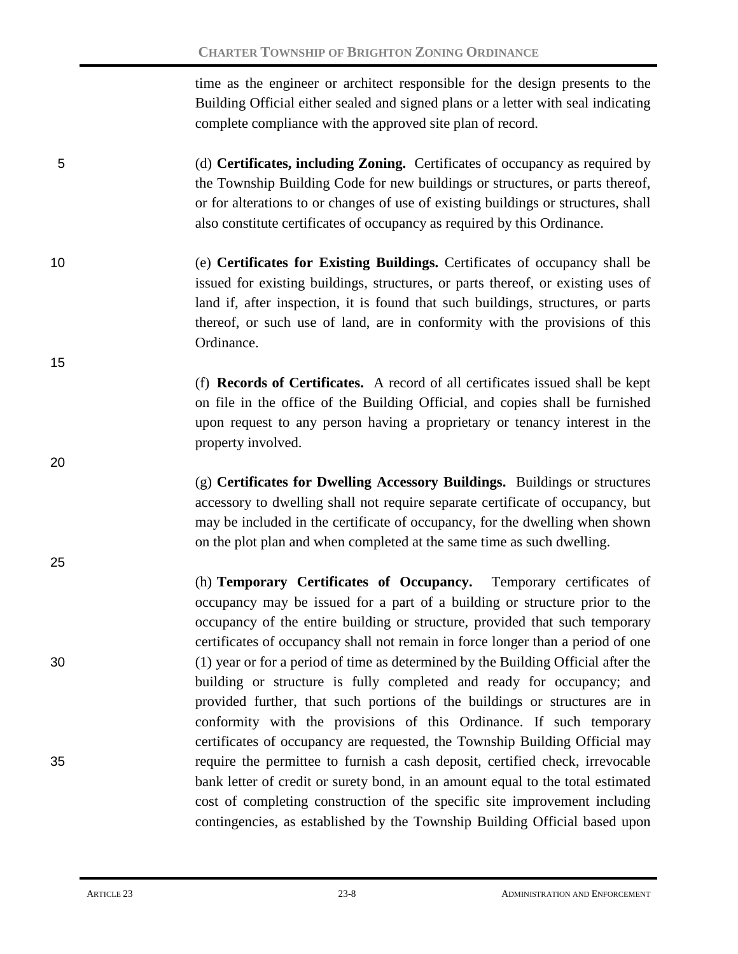time as the engineer or architect responsible for the design presents to the Building Official either sealed and signed plans or a letter with seal indicating complete compliance with the approved site plan of record.

- 5 (d) **Certificates, including Zoning.** Certificates of occupancy as required by the Township Building Code for new buildings or structures, or parts thereof, or for alterations to or changes of use of existing buildings or structures, shall also constitute certificates of occupancy as required by this Ordinance.
- 10 (e) **Certificates for Existing Buildings.** Certificates of occupancy shall be issued for existing buildings, structures, or parts thereof, or existing uses of land if, after inspection, it is found that such buildings, structures, or parts thereof, or such use of land, are in conformity with the provisions of this Ordinance.

(f) **Records of Certificates.** A record of all certificates issued shall be kept on file in the office of the Building Official, and copies shall be furnished upon request to any person having a proprietary or tenancy interest in the property involved.

(g) **Certificates for Dwelling Accessory Buildings.** Buildings or structures accessory to dwelling shall not require separate certificate of occupancy, but may be included in the certificate of occupancy, for the dwelling when shown on the plot plan and when completed at the same time as such dwelling.

(h) **Temporary Certificates of Occupancy.** Temporary certificates of occupancy may be issued for a part of a building or structure prior to the occupancy of the entire building or structure, provided that such temporary certificates of occupancy shall not remain in force longer than a period of one 30 (1) year or for a period of time as determined by the Building Official after the building or structure is fully completed and ready for occupancy; and provided further, that such portions of the buildings or structures are in conformity with the provisions of this Ordinance. If such temporary certificates of occupancy are requested, the Township Building Official may 35 require the permittee to furnish a cash deposit, certified check, irrevocable bank letter of credit or surety bond, in an amount equal to the total estimated cost of completing construction of the specific site improvement including contingencies, as established by the Township Building Official based upon

15

20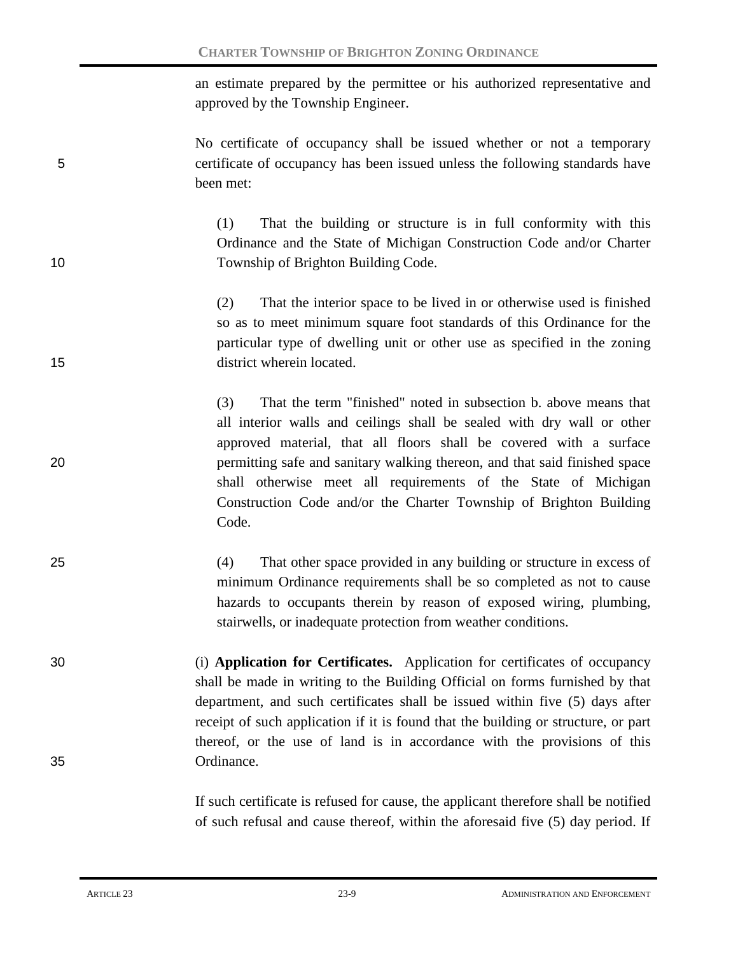an estimate prepared by the permittee or his authorized representative and approved by the Township Engineer.

No certificate of occupancy shall be issued whether or not a temporary 5 certificate of occupancy has been issued unless the following standards have been met:

(1) That the building or structure is in full conformity with this Ordinance and the State of Michigan Construction Code and/or Charter 10 Township of Brighton Building Code.

(2) That the interior space to be lived in or otherwise used is finished so as to meet minimum square foot standards of this Ordinance for the particular type of dwelling unit or other use as specified in the zoning 15 district wherein located.

(3) That the term "finished" noted in subsection b. above means that all interior walls and ceilings shall be sealed with dry wall or other approved material, that all floors shall be covered with a surface 20 permitting safe and sanitary walking thereon, and that said finished space shall otherwise meet all requirements of the State of Michigan Construction Code and/or the Charter Township of Brighton Building Code.

- 25 (4) That other space provided in any building or structure in excess of minimum Ordinance requirements shall be so completed as not to cause hazards to occupants therein by reason of exposed wiring, plumbing, stairwells, or inadequate protection from weather conditions.
- 30 (i) **Application for Certificates.** Application for certificates of occupancy shall be made in writing to the Building Official on forms furnished by that department, and such certificates shall be issued within five (5) days after receipt of such application if it is found that the building or structure, or part thereof, or the use of land is in accordance with the provisions of this 35 Ordinance.

If such certificate is refused for cause, the applicant therefore shall be notified of such refusal and cause thereof, within the aforesaid five (5) day period. If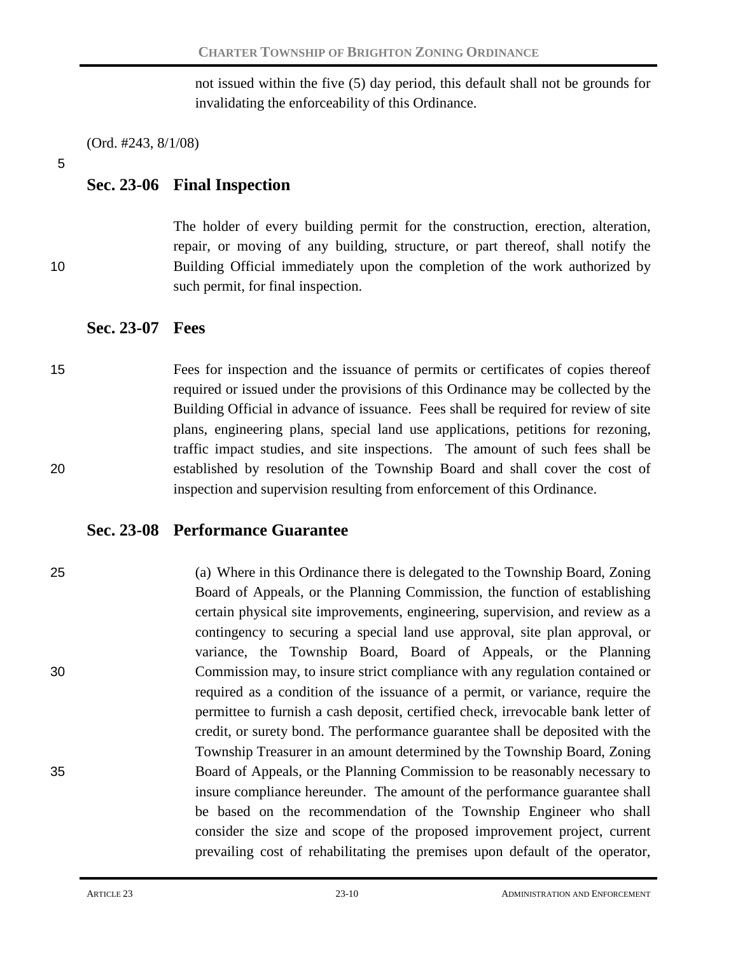not issued within the five (5) day period, this default shall not be grounds for invalidating the enforceability of this Ordinance.

(Ord. #243, 8/1/08)

5

# **Sec. 23-06 Final Inspection**

The holder of every building permit for the construction, erection, alteration, repair, or moving of any building, structure, or part thereof, shall notify the 10 Building Official immediately upon the completion of the work authorized by such permit, for final inspection.

## **Sec. 23-07 Fees**

15 Fees for inspection and the issuance of permits or certificates of copies thereof required or issued under the provisions of this Ordinance may be collected by the Building Official in advance of issuance. Fees shall be required for review of site plans, engineering plans, special land use applications, petitions for rezoning, traffic impact studies, and site inspections. The amount of such fees shall be 20 established by resolution of the Township Board and shall cover the cost of inspection and supervision resulting from enforcement of this Ordinance.

## **Sec. 23-08 Performance Guarantee**

25 (a) Where in this Ordinance there is delegated to the Township Board, Zoning Board of Appeals, or the Planning Commission, the function of establishing certain physical site improvements, engineering, supervision, and review as a contingency to securing a special land use approval, site plan approval, or variance, the Township Board, Board of Appeals, or the Planning 30 Commission may, to insure strict compliance with any regulation contained or required as a condition of the issuance of a permit, or variance, require the permittee to furnish a cash deposit, certified check, irrevocable bank letter of credit, or surety bond. The performance guarantee shall be deposited with the Township Treasurer in an amount determined by the Township Board, Zoning 35 Board of Appeals, or the Planning Commission to be reasonably necessary to insure compliance hereunder. The amount of the performance guarantee shall be based on the recommendation of the Township Engineer who shall consider the size and scope of the proposed improvement project, current prevailing cost of rehabilitating the premises upon default of the operator,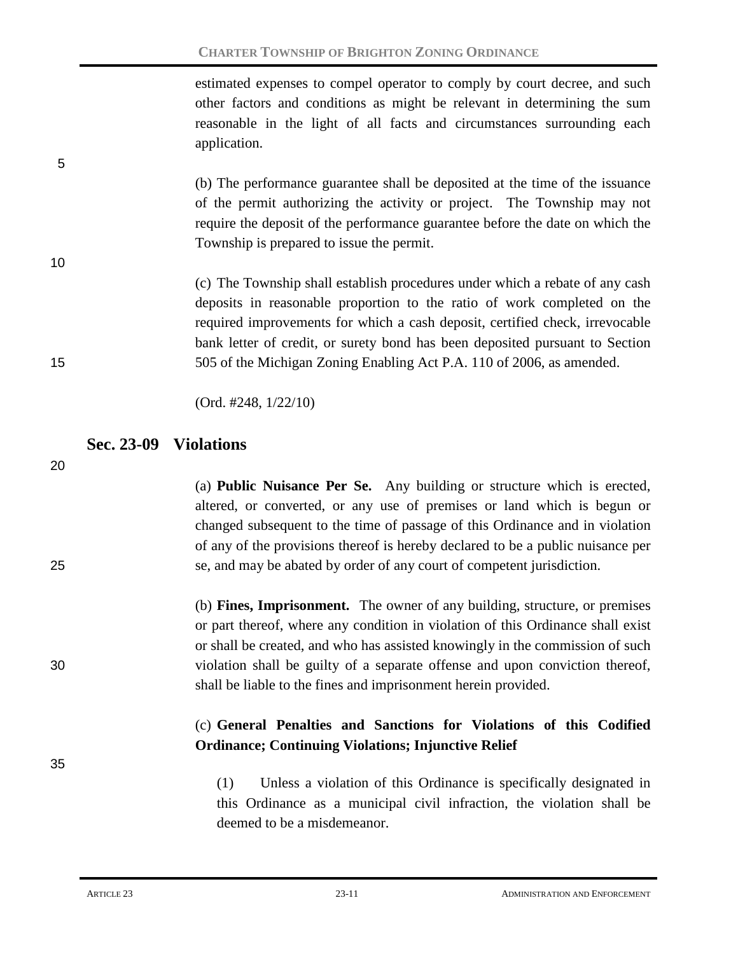estimated expenses to compel operator to comply by court decree, and such other factors and conditions as might be relevant in determining the sum reasonable in the light of all facts and circumstances surrounding each application.

(b) The performance guarantee shall be deposited at the time of the issuance of the permit authorizing the activity or project. The Township may not require the deposit of the performance guarantee before the date on which the Township is prepared to issue the permit.

(c) The Township shall establish procedures under which a rebate of any cash deposits in reasonable proportion to the ratio of work completed on the required improvements for which a cash deposit, certified check, irrevocable bank letter of credit, or surety bond has been deposited pursuant to Section 15 505 of the Michigan Zoning Enabling Act P.A. 110 of 2006, as amended.

(Ord. #248, 1/22/10)

## **Sec. 23-09 Violations**

20

35

5

10

(a) **Public Nuisance Per Se.** Any building or structure which is erected, altered, or converted, or any use of premises or land which is begun or changed subsequent to the time of passage of this Ordinance and in violation of any of the provisions thereof is hereby declared to be a public nuisance per 25 se, and may be abated by order of any court of competent jurisdiction.

(b) **Fines, Imprisonment.** The owner of any building, structure, or premises or part thereof, where any condition in violation of this Ordinance shall exist or shall be created, and who has assisted knowingly in the commission of such 30 violation shall be guilty of a separate offense and upon conviction thereof, shall be liable to the fines and imprisonment herein provided.

## (c) **General Penalties and Sanctions for Violations of this Codified Ordinance; Continuing Violations; Injunctive Relief**

(1) Unless a violation of this Ordinance is specifically designated in this Ordinance as a municipal civil infraction, the violation shall be deemed to be a misdemeanor.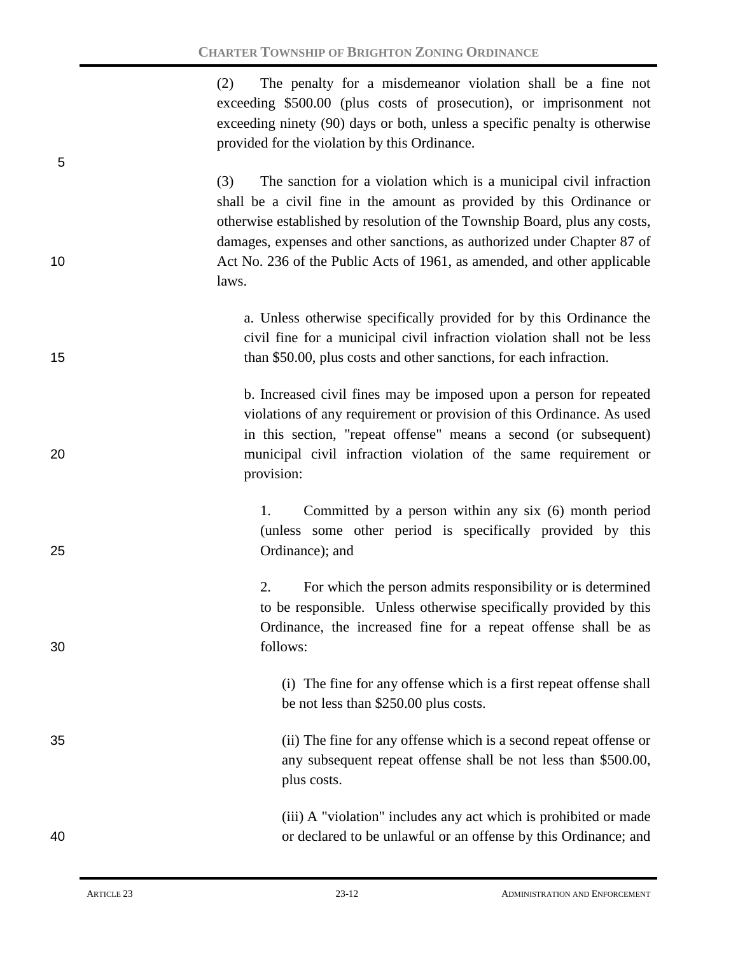(2) The penalty for a misdemeanor violation shall be a fine not exceeding \$500.00 (plus costs of prosecution), or imprisonment not exceeding ninety (90) days or both, unless a specific penalty is otherwise provided for the violation by this Ordinance.

(3) The sanction for a violation which is a municipal civil infraction shall be a civil fine in the amount as provided by this Ordinance or otherwise established by resolution of the Township Board, plus any costs, damages, expenses and other sanctions, as authorized under Chapter 87 of 10 Act No. 236 of the Public Acts of 1961, as amended, and other applicable laws.

a. Unless otherwise specifically provided for by this Ordinance the civil fine for a municipal civil infraction violation shall not be less 15 than \$50.00, plus costs and other sanctions, for each infraction.

b. Increased civil fines may be imposed upon a person for repeated violations of any requirement or provision of this Ordinance. As used in this section, "repeat offense" means a second (or subsequent) 20 municipal civil infraction violation of the same requirement or provision:

1. Committed by a person within any six (6) month period (unless some other period is specifically provided by this 25 Ordinance); and

2. For which the person admits responsibility or is determined to be responsible. Unless otherwise specifically provided by this Ordinance, the increased fine for a repeat offense shall be as 30 follows:

> (i) The fine for any offense which is a first repeat offense shall be not less than \$250.00 plus costs.

35 (ii) The fine for any offense which is a second repeat offense or any subsequent repeat offense shall be not less than \$500.00, plus costs.

(iii) A "violation" includes any act which is prohibited or made 40 or declared to be unlawful or an offense by this Ordinance; and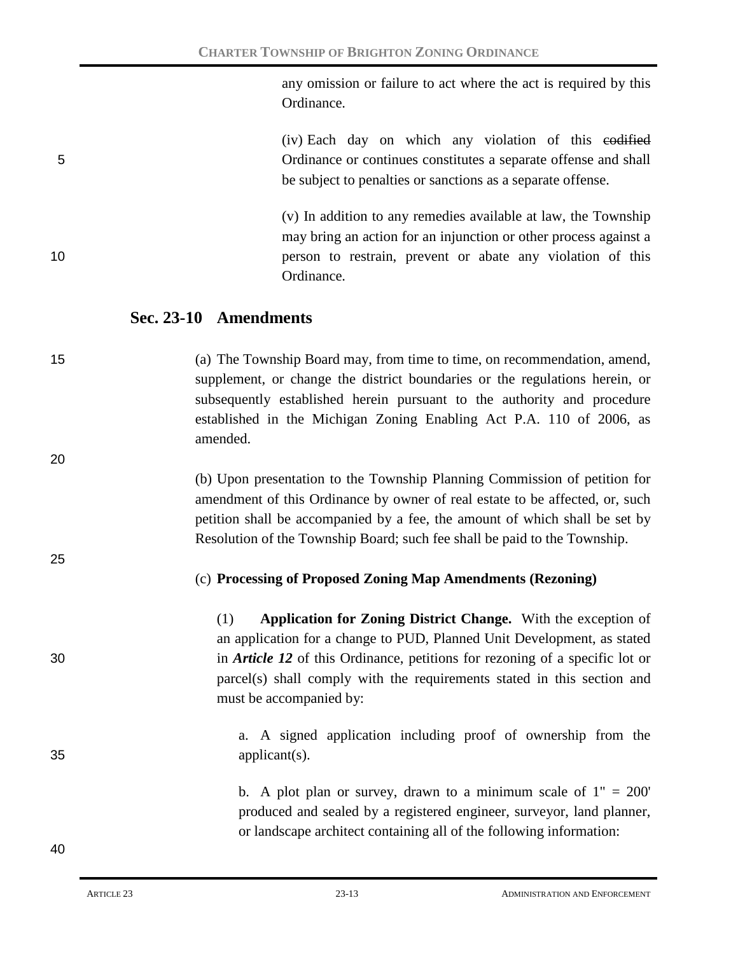any omission or failure to act where the act is required by this Ordinance.

(iv) Each day on which any violation of this codified 5 Ordinance or continues constitutes a separate offense and shall be subject to penalties or sanctions as a separate offense.

(v) In addition to any remedies available at law, the Township may bring an action for an injunction or other process against a 10 person to restrain, prevent or abate any violation of this Ordinance.

## **Sec. 23-10 Amendments**

20

25

15 (a) The Township Board may, from time to time, on recommendation, amend, supplement, or change the district boundaries or the regulations herein, or subsequently established herein pursuant to the authority and procedure established in the Michigan Zoning Enabling Act P.A. 110 of 2006, as amended.

> (b) Upon presentation to the Township Planning Commission of petition for amendment of this Ordinance by owner of real estate to be affected, or, such petition shall be accompanied by a fee, the amount of which shall be set by Resolution of the Township Board; such fee shall be paid to the Township.

## (c) **Processing of Proposed Zoning Map Amendments (Rezoning)**

(1) **Application for Zoning District Change.** With the exception of an application for a change to PUD, Planned Unit Development, as stated 30 in *Article 12* of this Ordinance, petitions for rezoning of a specific lot or parcel(s) shall comply with the requirements stated in this section and must be accompanied by:

a. A signed application including proof of ownership from the 35 applicant(s).

> b. A plot plan or survey, drawn to a minimum scale of  $1" = 200'$ produced and sealed by a registered engineer, surveyor, land planner, or landscape architect containing all of the following information: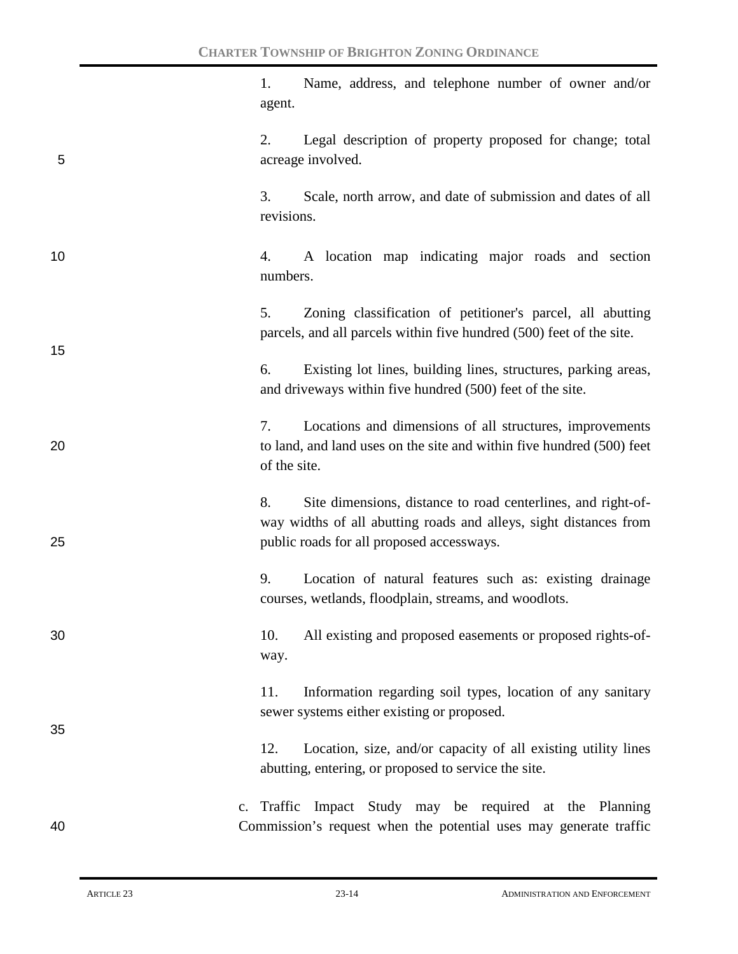1. Name, address, and telephone number of owner and/or agent.

2. Legal description of property proposed for change; total 5 acreage involved.

> 3. Scale, north arrow, and date of submission and dates of all revisions.

10 4. A location map indicating major roads and section numbers.

> 5. Zoning classification of petitioner's parcel, all abutting parcels, and all parcels within five hundred (500) feet of the site.

6. Existing lot lines, building lines, structures, parking areas, and driveways within five hundred (500) feet of the site.

7. Locations and dimensions of all structures, improvements 20 to land, and land uses on the site and within five hundred (500) feet of the site.

8. Site dimensions, distance to road centerlines, and right-ofway widths of all abutting roads and alleys, sight distances from 25 public roads for all proposed accessways.

> 9. Location of natural features such as: existing drainage courses, wetlands, floodplain, streams, and woodlots.

30 10. All existing and proposed easements or proposed rights-ofway.

> 11. Information regarding soil types, location of any sanitary sewer systems either existing or proposed.

12. Location, size, and/or capacity of all existing utility lines abutting, entering, or proposed to service the site.

c. Traffic Impact Study may be required at the Planning 40 Commission's request when the potential uses may generate traffic

15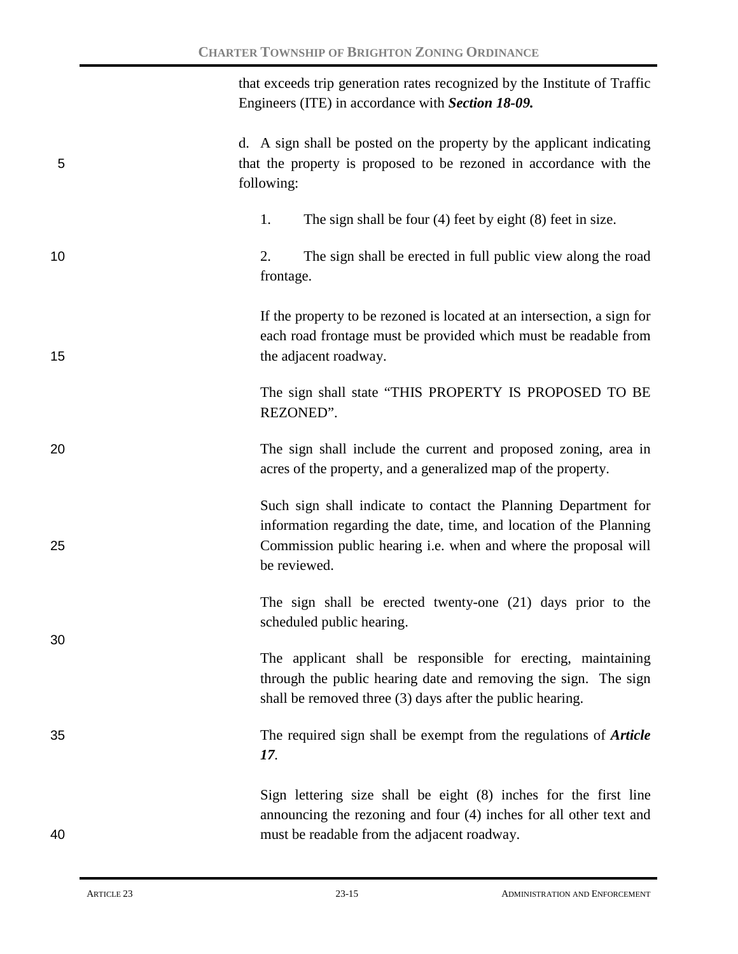that exceeds trip generation rates recognized by the Institute of Traffic Engineers (ITE) in accordance with *Section 18-09.*

# d. A sign shall be posted on the property by the applicant indicating 5 that the property is proposed to be rezoned in accordance with the following:

1. The sign shall be four (4) feet by eight (8) feet in size.

10 2. The sign shall be erected in full public view along the road frontage.

If the property to be rezoned is located at an intersection, a sign for each road frontage must be provided which must be readable from 15 the adjacent roadway.

> The sign shall state "THIS PROPERTY IS PROPOSED TO BE REZONED".

20 The sign shall include the current and proposed zoning, area in acres of the property, and a generalized map of the property.

Such sign shall indicate to contact the Planning Department for information regarding the date, time, and location of the Planning 25 Commission public hearing i.e. when and where the proposal will be reviewed.

> The sign shall be erected twenty-one (21) days prior to the scheduled public hearing.

> The applicant shall be responsible for erecting, maintaining through the public hearing date and removing the sign. The sign shall be removed three (3) days after the public hearing.

35 The required sign shall be exempt from the regulations of *Article 17.*

Sign lettering size shall be eight (8) inches for the first line announcing the rezoning and four (4) inches for all other text and 40 must be readable from the adjacent roadway.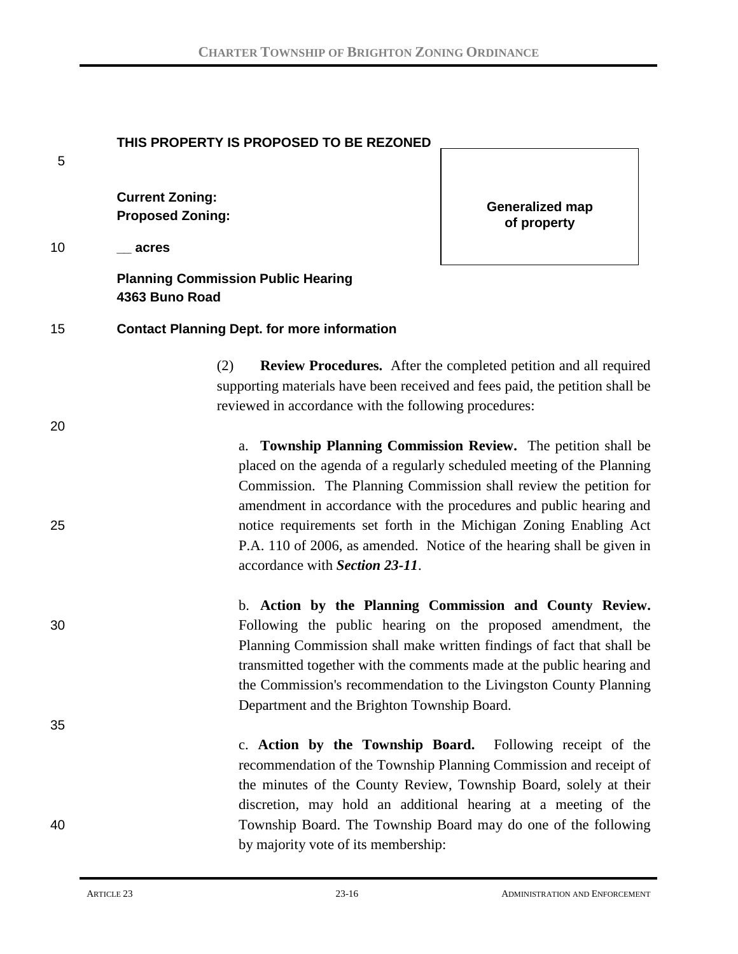|    | THIS PROPERTY IS PROPOSED TO BE REZONED                                                                                                                                                                                                                                                                                                                                                                                                                              |                                                                                                                                                                                                                                                                                    |
|----|----------------------------------------------------------------------------------------------------------------------------------------------------------------------------------------------------------------------------------------------------------------------------------------------------------------------------------------------------------------------------------------------------------------------------------------------------------------------|------------------------------------------------------------------------------------------------------------------------------------------------------------------------------------------------------------------------------------------------------------------------------------|
| 5  |                                                                                                                                                                                                                                                                                                                                                                                                                                                                      |                                                                                                                                                                                                                                                                                    |
|    | <b>Current Zoning:</b><br><b>Proposed Zoning:</b>                                                                                                                                                                                                                                                                                                                                                                                                                    | <b>Generalized map</b><br>of property                                                                                                                                                                                                                                              |
| 10 | acres                                                                                                                                                                                                                                                                                                                                                                                                                                                                |                                                                                                                                                                                                                                                                                    |
|    | <b>Planning Commission Public Hearing</b><br>4363 Buno Road                                                                                                                                                                                                                                                                                                                                                                                                          |                                                                                                                                                                                                                                                                                    |
| 15 | <b>Contact Planning Dept. for more information</b>                                                                                                                                                                                                                                                                                                                                                                                                                   |                                                                                                                                                                                                                                                                                    |
|    | (2)<br>supporting materials have been received and fees paid, the petition shall be<br>reviewed in accordance with the following procedures:                                                                                                                                                                                                                                                                                                                         | <b>Review Procedures.</b> After the completed petition and all required                                                                                                                                                                                                            |
| 20 |                                                                                                                                                                                                                                                                                                                                                                                                                                                                      |                                                                                                                                                                                                                                                                                    |
| 25 | Township Planning Commission Review. The petition shall be<br>a.<br>placed on the agenda of a regularly scheduled meeting of the Planning<br>Commission. The Planning Commission shall review the petition for<br>amendment in accordance with the procedures and public hearing and<br>notice requirements set forth in the Michigan Zoning Enabling Act<br>P.A. 110 of 2006, as amended. Notice of the hearing shall be given in<br>accordance with Section 23-11. |                                                                                                                                                                                                                                                                                    |
|    |                                                                                                                                                                                                                                                                                                                                                                                                                                                                      | b. Action by the Planning Commission and County Review.                                                                                                                                                                                                                            |
| 30 | Department and the Brighton Township Board.                                                                                                                                                                                                                                                                                                                                                                                                                          | Following the public hearing on the proposed amendment, the<br>Planning Commission shall make written findings of fact that shall be<br>transmitted together with the comments made at the public hearing and<br>the Commission's recommendation to the Livingston County Planning |
| 35 |                                                                                                                                                                                                                                                                                                                                                                                                                                                                      |                                                                                                                                                                                                                                                                                    |
|    |                                                                                                                                                                                                                                                                                                                                                                                                                                                                      | c. Action by the Township Board. Following receipt of the<br>recommendation of the Township Planning Commission and receipt of<br>the minutes of the County Review, Township Board, solely at their<br>discretion, may hold an additional hearing at a meeting of the              |
| 40 | by majority vote of its membership:                                                                                                                                                                                                                                                                                                                                                                                                                                  | Township Board. The Township Board may do one of the following                                                                                                                                                                                                                     |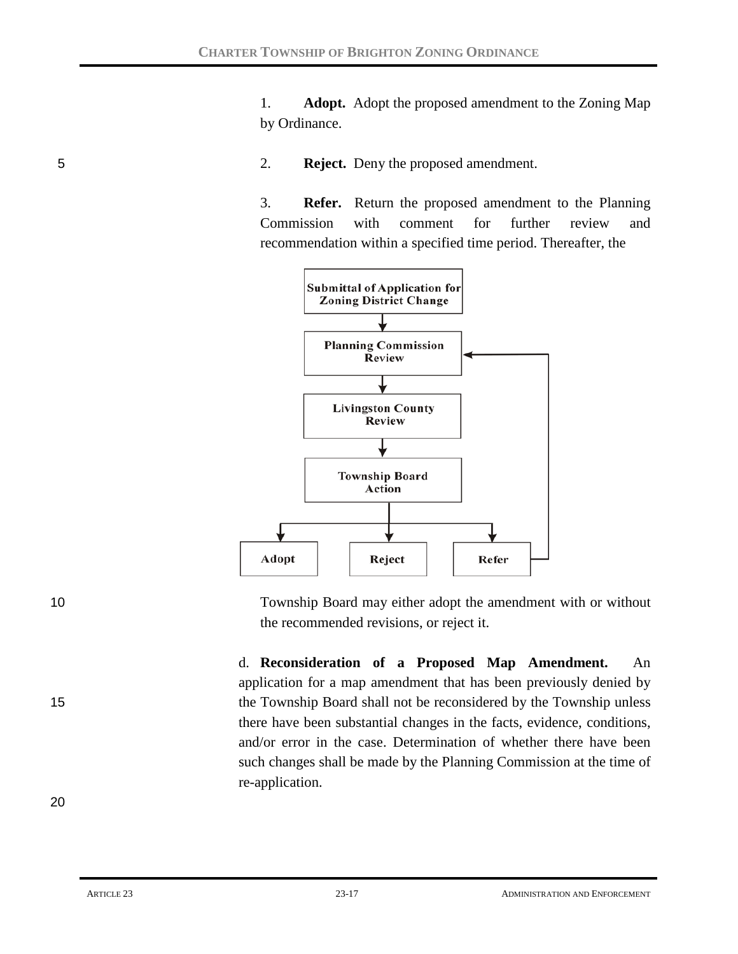1. **Adopt.** Adopt the proposed amendment to the Zoning Map by Ordinance.

5 2. **Reject.** Deny the proposed amendment.

3. **Refer.** Return the proposed amendment to the Planning Commission with comment for further review and recommendation within a specified time period. Thereafter, the



10 Township Board may either adopt the amendment with or without the recommended revisions, or reject it.

d. **Reconsideration of a Proposed Map Amendment.** An application for a map amendment that has been previously denied by 15 the Township Board shall not be reconsidered by the Township unless there have been substantial changes in the facts, evidence, conditions, and/or error in the case. Determination of whether there have been such changes shall be made by the Planning Commission at the time of re-application.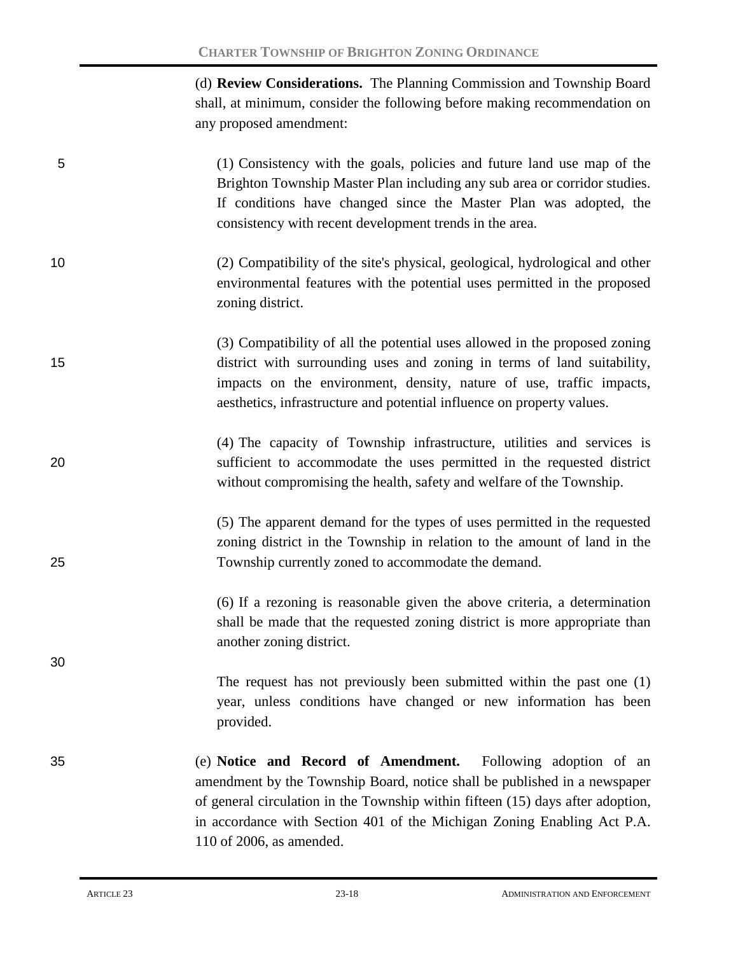(d) **Review Considerations.** The Planning Commission and Township Board shall, at minimum, consider the following before making recommendation on any proposed amendment:

- 5 (1) Consistency with the goals, policies and future land use map of the Brighton Township Master Plan including any sub area or corridor studies. If conditions have changed since the Master Plan was adopted, the consistency with recent development trends in the area.
- 10 (2) Compatibility of the site's physical, geological, hydrological and other environmental features with the potential uses permitted in the proposed zoning district.
- (3) Compatibility of all the potential uses allowed in the proposed zoning 15 district with surrounding uses and zoning in terms of land suitability, impacts on the environment, density, nature of use, traffic impacts, aesthetics, infrastructure and potential influence on property values.
- (4) The capacity of Township infrastructure, utilities and services is 20 sufficient to accommodate the uses permitted in the requested district without compromising the health, safety and welfare of the Township.
- (5) The apparent demand for the types of uses permitted in the requested zoning district in the Township in relation to the amount of land in the 25 Township currently zoned to accommodate the demand.

(6) If a rezoning is reasonable given the above criteria, a determination shall be made that the requested zoning district is more appropriate than another zoning district.

The request has not previously been submitted within the past one (1) year, unless conditions have changed or new information has been provided.

35 (e) **Notice and Record of Amendment.** Following adoption of an amendment by the Township Board, notice shall be published in a newspaper of general circulation in the Township within fifteen (15) days after adoption, in accordance with Section 401 of the Michigan Zoning Enabling Act P.A. 110 of 2006, as amended.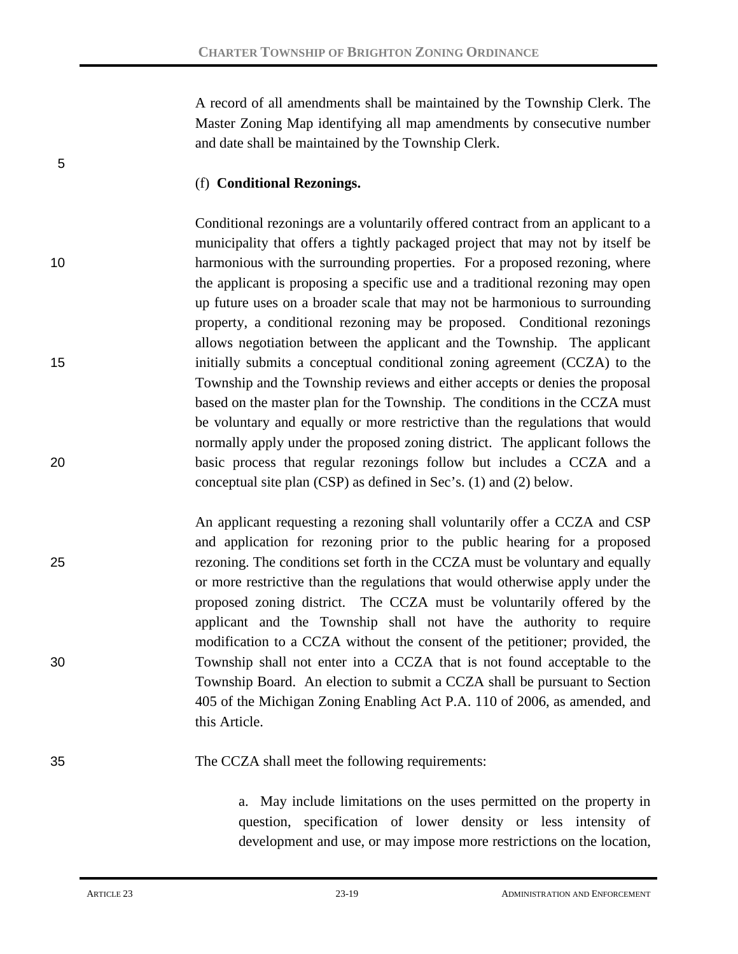A record of all amendments shall be maintained by the Township Clerk. The Master Zoning Map identifying all map amendments by consecutive number and date shall be maintained by the Township Clerk.

#### (f) **Conditional Rezonings.**

Conditional rezonings are a voluntarily offered contract from an applicant to a municipality that offers a tightly packaged project that may not by itself be 10 harmonious with the surrounding properties. For a proposed rezoning, where the applicant is proposing a specific use and a traditional rezoning may open up future uses on a broader scale that may not be harmonious to surrounding property, a conditional rezoning may be proposed. Conditional rezonings allows negotiation between the applicant and the Township. The applicant 15 initially submits a conceptual conditional zoning agreement (CCZA) to the Township and the Township reviews and either accepts or denies the proposal based on the master plan for the Township. The conditions in the CCZA must be voluntary and equally or more restrictive than the regulations that would normally apply under the proposed zoning district. The applicant follows the 20 basic process that regular rezonings follow but includes a CCZA and a conceptual site plan (CSP) as defined in Sec's. (1) and (2) below.

An applicant requesting a rezoning shall voluntarily offer a CCZA and CSP and application for rezoning prior to the public hearing for a proposed 25 rezoning. The conditions set forth in the CCZA must be voluntary and equally or more restrictive than the regulations that would otherwise apply under the proposed zoning district. The CCZA must be voluntarily offered by the applicant and the Township shall not have the authority to require modification to a CCZA without the consent of the petitioner; provided, the 30 Township shall not enter into a CCZA that is not found acceptable to the Township Board. An election to submit a CCZA shall be pursuant to Section 405 of the Michigan Zoning Enabling Act P.A. 110 of 2006, as amended, and this Article.

### 35 The CCZA shall meet the following requirements:

a. May include limitations on the uses permitted on the property in question, specification of lower density or less intensity of development and use, or may impose more restrictions on the location,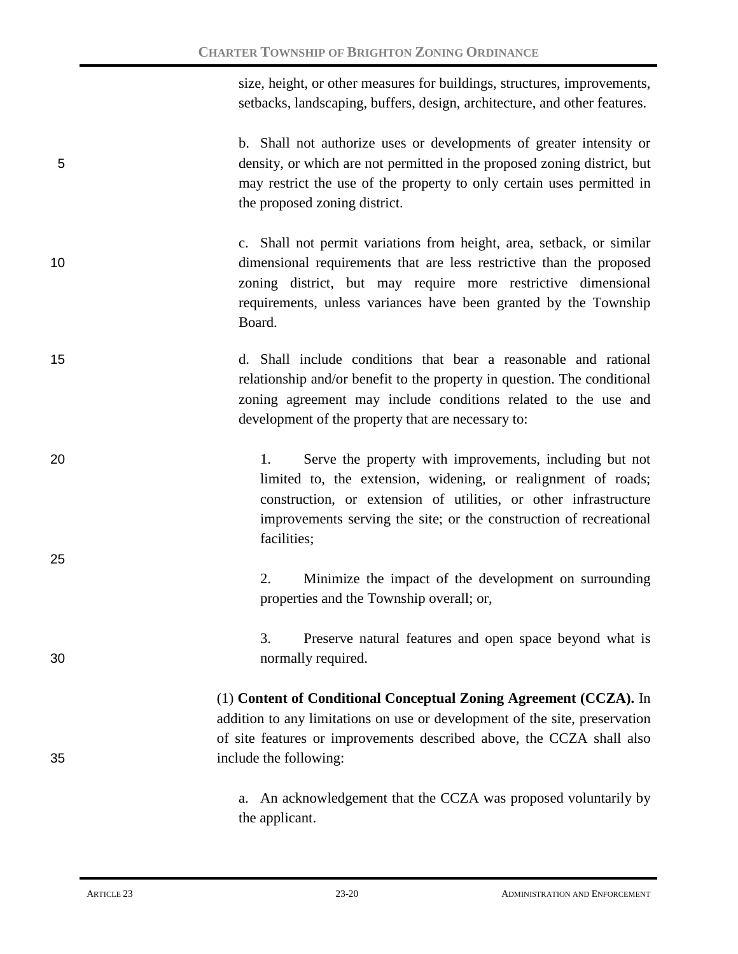size, height, or other measures for buildings, structures, improvements, setbacks, landscaping, buffers, design, architecture, and other features.

b. Shall not authorize uses or developments of greater intensity or 5 density, or which are not permitted in the proposed zoning district, but may restrict the use of the property to only certain uses permitted in the proposed zoning district.

- c. Shall not permit variations from height, area, setback, or similar 10 dimensional requirements that are less restrictive than the proposed zoning district, but may require more restrictive dimensional requirements, unless variances have been granted by the Township Board.
- 15 d. Shall include conditions that bear a reasonable and rational relationship and/or benefit to the property in question. The conditional zoning agreement may include conditions related to the use and development of the property that are necessary to:
- 20 1. Serve the property with improvements, including but not limited to, the extension, widening, or realignment of roads; construction, or extension of utilities, or other infrastructure improvements serving the site; or the construction of recreational facilities;

2. Minimize the impact of the development on surrounding properties and the Township overall; or,

3. Preserve natural features and open space beyond what is 30 normally required.

(1) **Content of Conditional Conceptual Zoning Agreement (CCZA).** In addition to any limitations on use or development of the site, preservation of site features or improvements described above, the CCZA shall also 35 include the following:

> a. An acknowledgement that the CCZA was proposed voluntarily by the applicant.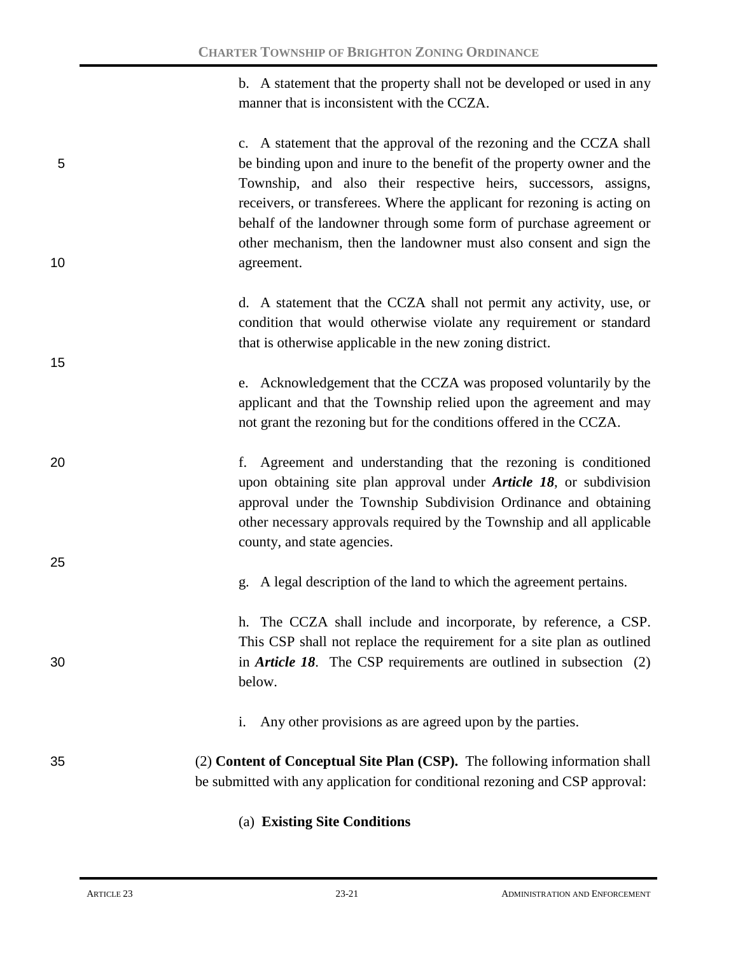b. A statement that the property shall not be developed or used in any manner that is inconsistent with the CCZA.

c. A statement that the approval of the rezoning and the CCZA shall 5 be binding upon and inure to the benefit of the property owner and the Township, and also their respective heirs, successors, assigns, receivers, or transferees. Where the applicant for rezoning is acting on behalf of the landowner through some form of purchase agreement or other mechanism, then the landowner must also consent and sign the 10 agreement.

> d. A statement that the CCZA shall not permit any activity, use, or condition that would otherwise violate any requirement or standard that is otherwise applicable in the new zoning district.

e. Acknowledgement that the CCZA was proposed voluntarily by the applicant and that the Township relied upon the agreement and may not grant the rezoning but for the conditions offered in the CCZA.

- 20 f. Agreement and understanding that the rezoning is conditioned upon obtaining site plan approval under *Article 18*, or subdivision approval under the Township Subdivision Ordinance and obtaining other necessary approvals required by the Township and all applicable county, and state agencies.
	- g. A legal description of the land to which the agreement pertains.

h. The CCZA shall include and incorporate, by reference, a CSP. This CSP shall not replace the requirement for a site plan as outlined 30 in *Article 18*. The CSP requirements are outlined in subsection (2) below.

- i. Any other provisions as are agreed upon by the parties.
- 35 (2) **Content of Conceptual Site Plan (CSP).** The following information shall be submitted with any application for conditional rezoning and CSP approval:
	- (a) **Existing Site Conditions**

15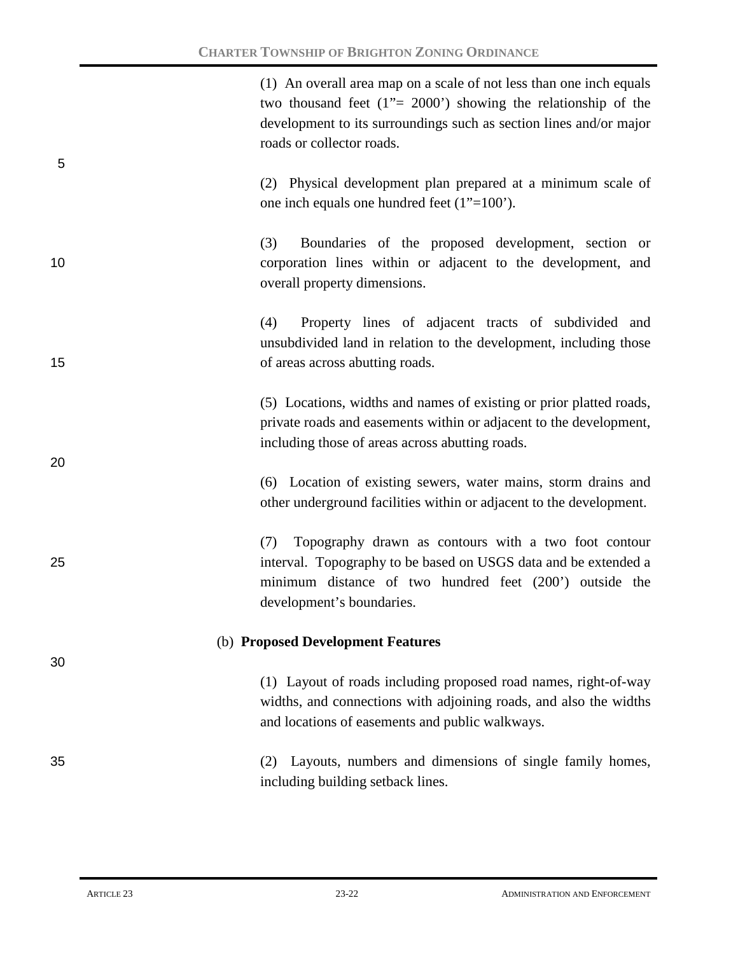(1) An overall area map on a scale of not less than one inch equals two thousand feet (1"= 2000') showing the relationship of the development to its surroundings such as section lines and/or major roads or collector roads.

(2) Physical development plan prepared at a minimum scale of one inch equals one hundred feet (1"=100').

20

5

(3) Boundaries of the proposed development, section or 10 corporation lines within or adjacent to the development, and overall property dimensions.

(4) Property lines of adjacent tracts of subdivided and unsubdivided land in relation to the development, including those 15 **15** of areas across abutting roads.

> (5) Locations, widths and names of existing or prior platted roads, private roads and easements within or adjacent to the development, including those of areas across abutting roads.

> (6) Location of existing sewers, water mains, storm drains and other underground facilities within or adjacent to the development.

(7) Topography drawn as contours with a two foot contour 25 interval. Topography to be based on USGS data and be extended a minimum distance of two hundred feet (200') outside the development's boundaries.

### (b) **Proposed Development Features**

(1) Layout of roads including proposed road names, right-of-way widths, and connections with adjoining roads, and also the widths and locations of easements and public walkways.

35 (2) Layouts, numbers and dimensions of single family homes, including building setback lines.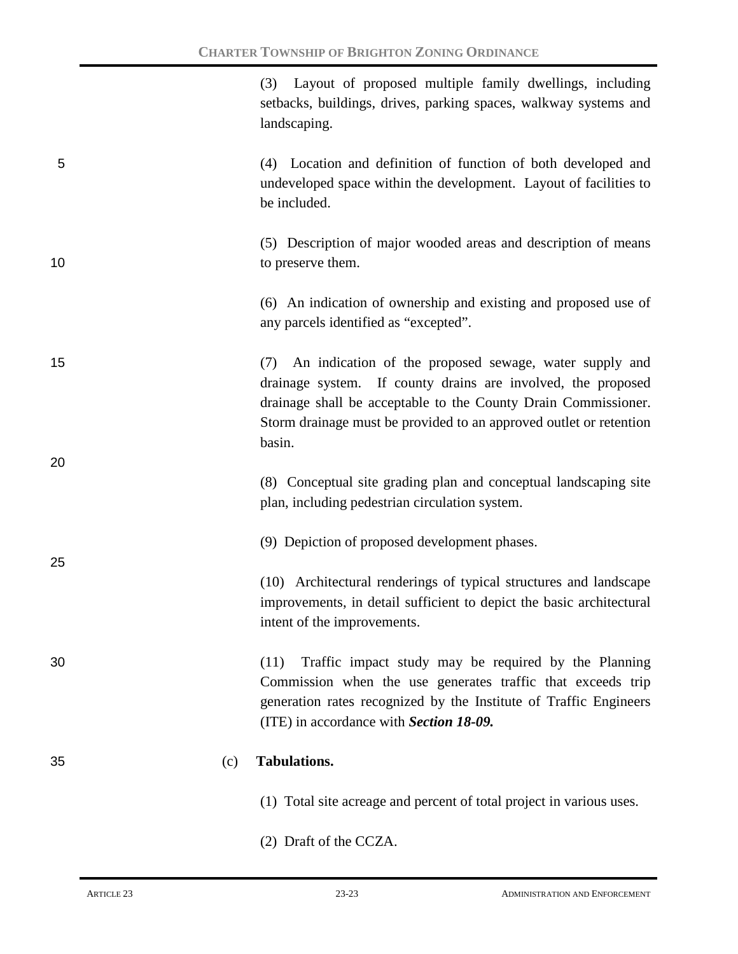(3) Layout of proposed multiple family dwellings, including setbacks, buildings, drives, parking spaces, walkway systems and landscaping.

5 (4) Location and definition of function of both developed and undeveloped space within the development. Layout of facilities to be included.

25

(5) Description of major wooded areas and description of means 10 to preserve them.

> (6) An indication of ownership and existing and proposed use of any parcels identified as "excepted".

15 (7) An indication of the proposed sewage, water supply and drainage system. If county drains are involved, the proposed drainage shall be acceptable to the County Drain Commissioner. Storm drainage must be provided to an approved outlet or retention basin. 20

> (8) Conceptual site grading plan and conceptual landscaping site plan, including pedestrian circulation system.

(9) Depiction of proposed development phases.

(10) Architectural renderings of typical structures and landscape improvements, in detail sufficient to depict the basic architectural intent of the improvements.

30 (11) Traffic impact study may be required by the Planning Commission when the use generates traffic that exceeds trip generation rates recognized by the Institute of Traffic Engineers (ITE) in accordance with *Section 18-09.*

#### 35 (c) **Tabulations.**

- (1) Total site acreage and percent of total project in various uses.
- (2) Draft of the CCZA.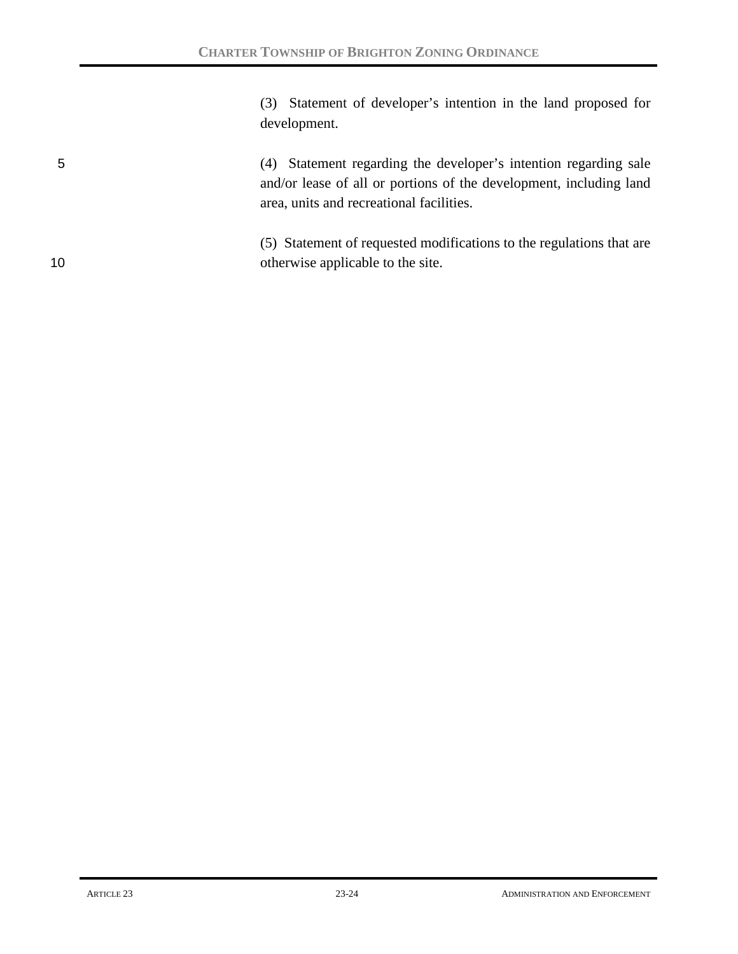(3) Statement of developer's intention in the land proposed for development.

5 (4) Statement regarding the developer's intention regarding sale and/or lease of all or portions of the development, including land area, units and recreational facilities.

(5) Statement of requested modifications to the regulations that are 10 otherwise applicable to the site.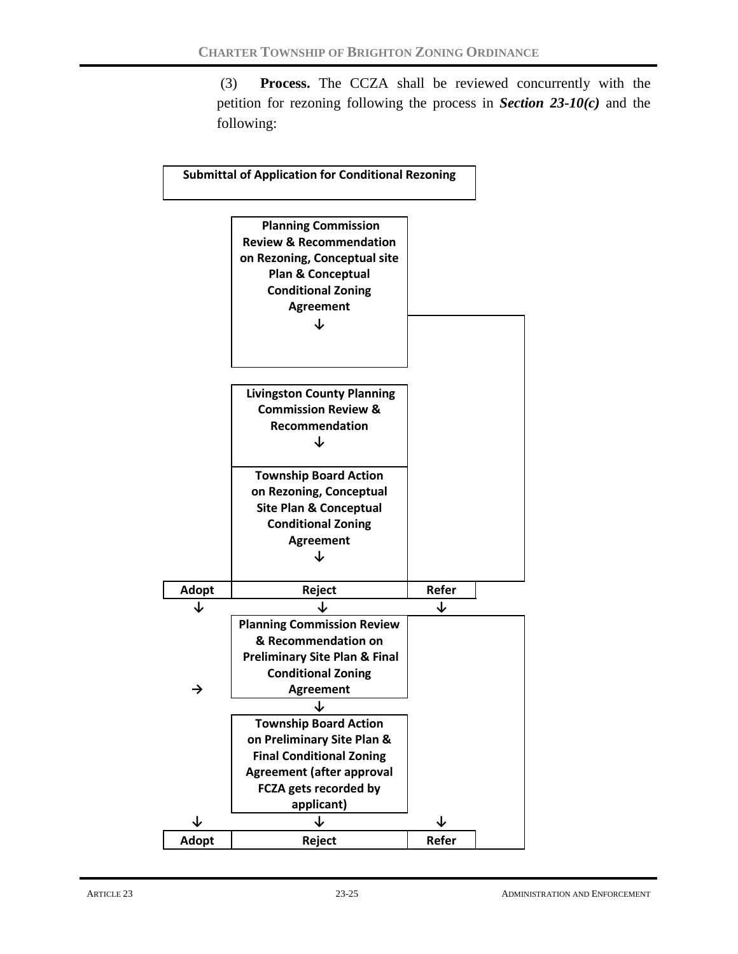(3) **Process.** The CCZA shall be reviewed concurrently with the petition for rezoning following the process in *Section 23-10(c)* and the following:

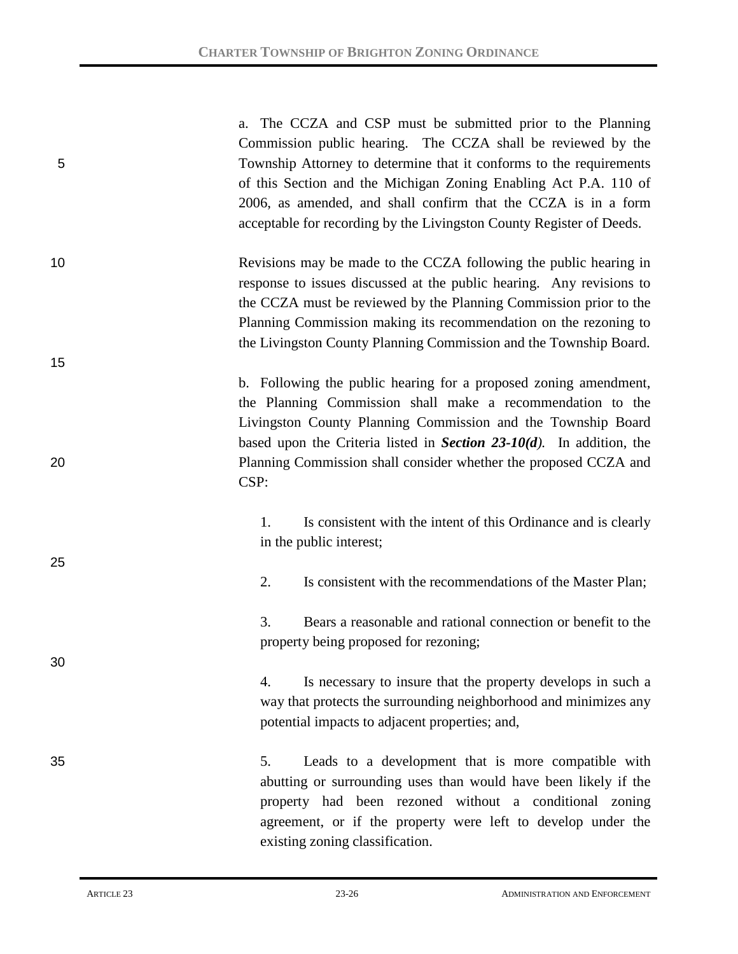| 5  | The CCZA and CSP must be submitted prior to the Planning<br>a.<br>Commission public hearing. The CCZA shall be reviewed by the<br>Township Attorney to determine that it conforms to the requirements<br>of this Section and the Michigan Zoning Enabling Act P.A. 110 of<br>2006, as amended, and shall confirm that the CCZA is in a form<br>acceptable for recording by the Livingston County Register of Deeds. |
|----|---------------------------------------------------------------------------------------------------------------------------------------------------------------------------------------------------------------------------------------------------------------------------------------------------------------------------------------------------------------------------------------------------------------------|
| 10 | Revisions may be made to the CCZA following the public hearing in<br>response to issues discussed at the public hearing. Any revisions to<br>the CCZA must be reviewed by the Planning Commission prior to the<br>Planning Commission making its recommendation on the rezoning to<br>the Livingston County Planning Commission and the Township Board.                                                             |
| 15 |                                                                                                                                                                                                                                                                                                                                                                                                                     |
| 20 | b. Following the public hearing for a proposed zoning amendment,<br>the Planning Commission shall make a recommendation to the<br>Livingston County Planning Commission and the Township Board<br>based upon the Criteria listed in Section $23-10(d)$ . In addition, the<br>Planning Commission shall consider whether the proposed CCZA and<br>CSP:                                                               |
| 25 | Is consistent with the intent of this Ordinance and is clearly<br>1.<br>in the public interest;                                                                                                                                                                                                                                                                                                                     |
|    | 2.<br>Is consistent with the recommendations of the Master Plan;                                                                                                                                                                                                                                                                                                                                                    |
| 30 | 3.<br>Bears a reasonable and rational connection or benefit to the<br>property being proposed for rezoning;                                                                                                                                                                                                                                                                                                         |
|    | Is necessary to insure that the property develops in such a<br>4.<br>way that protects the surrounding neighborhood and minimizes any<br>potential impacts to adjacent properties; and,                                                                                                                                                                                                                             |
| 35 | Leads to a development that is more compatible with<br>5.<br>abutting or surrounding uses than would have been likely if the<br>property had been rezoned without a conditional zoning<br>agreement, or if the property were left to develop under the<br>existing zoning classification.                                                                                                                           |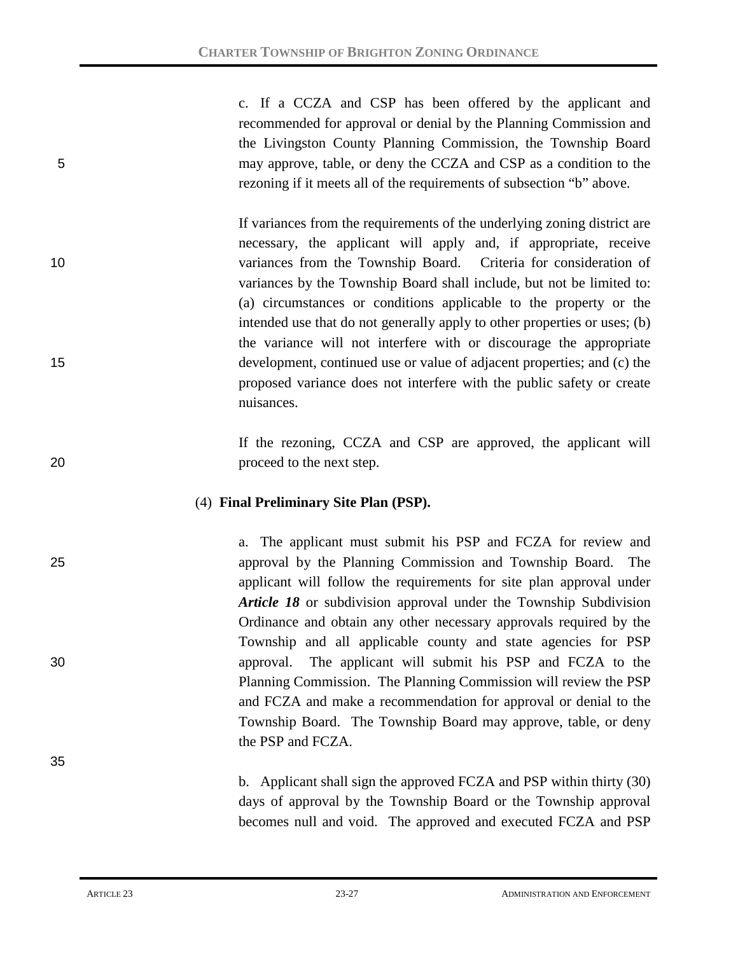c. If a CCZA and CSP has been offered by the applicant and recommended for approval or denial by the Planning Commission and the Livingston County Planning Commission, the Township Board 5 may approve, table, or deny the CCZA and CSP as a condition to the rezoning if it meets all of the requirements of subsection "b" above.

If variances from the requirements of the underlying zoning district are necessary, the applicant will apply and, if appropriate, receive 10 variances from the Township Board. Criteria for consideration of variances by the Township Board shall include, but not be limited to: (a) circumstances or conditions applicable to the property or the intended use that do not generally apply to other properties or uses; (b) the variance will not interfere with or discourage the appropriate 15 development, continued use or value of adjacent properties; and (c) the proposed variance does not interfere with the public safety or create nuisances.

If the rezoning, CCZA and CSP are approved, the applicant will 20 proceed to the next step.

### (4) **Final Preliminary Site Plan (PSP).**

a. The applicant must submit his PSP and FCZA for review and 25 approval by the Planning Commission and Township Board. The applicant will follow the requirements for site plan approval under *Article 18* or subdivision approval under the Township Subdivision Ordinance and obtain any other necessary approvals required by the Township and all applicable county and state agencies for PSP 30 approval. The applicant will submit his PSP and FCZA to the Planning Commission. The Planning Commission will review the PSP and FCZA and make a recommendation for approval or denial to the Township Board. The Township Board may approve, table, or deny the PSP and FCZA.

> b. Applicant shall sign the approved FCZA and PSP within thirty (30) days of approval by the Township Board or the Township approval becomes null and void. The approved and executed FCZA and PSP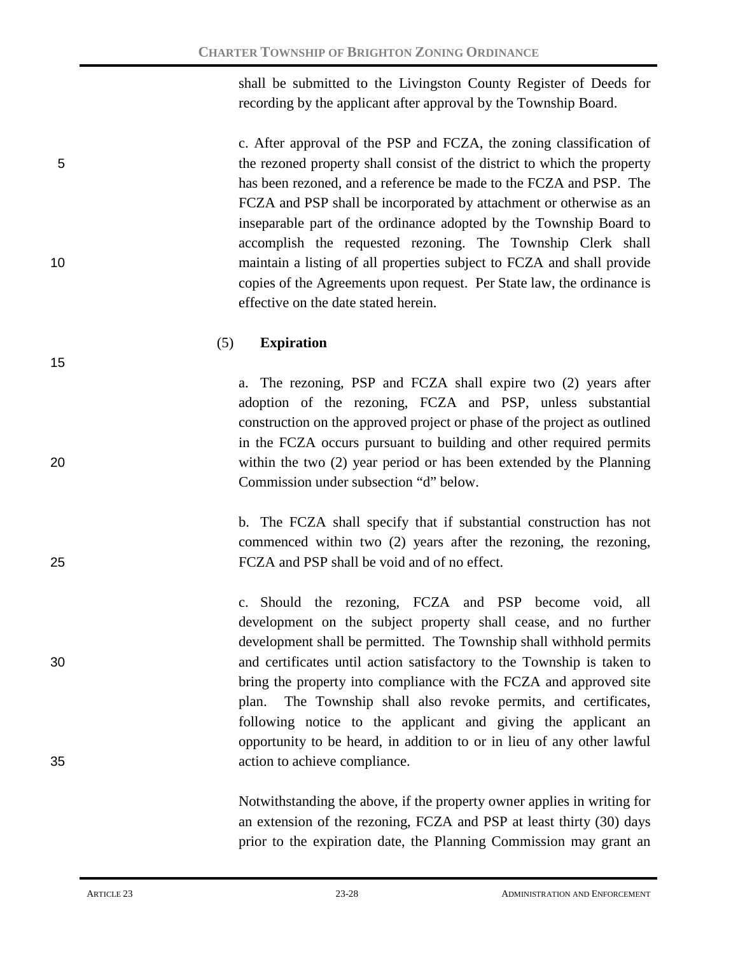shall be submitted to the Livingston County Register of Deeds for recording by the applicant after approval by the Township Board.

c. After approval of the PSP and FCZA, the zoning classification of 5 the rezoned property shall consist of the district to which the property has been rezoned, and a reference be made to the FCZA and PSP. The FCZA and PSP shall be incorporated by attachment or otherwise as an inseparable part of the ordinance adopted by the Township Board to accomplish the requested rezoning. The Township Clerk shall 10 maintain a listing of all properties subject to FCZA and shall provide copies of the Agreements upon request. Per State law, the ordinance is effective on the date stated herein.

#### (5) **Expiration**

a. The rezoning, PSP and FCZA shall expire two (2) years after adoption of the rezoning, FCZA and PSP, unless substantial construction on the approved project or phase of the project as outlined in the FCZA occurs pursuant to building and other required permits 20 within the two (2) year period or has been extended by the Planning Commission under subsection "d" below.

b. The FCZA shall specify that if substantial construction has not commenced within two (2) years after the rezoning, the rezoning, 25 FCZA and PSP shall be void and of no effect.

c. Should the rezoning, FCZA and PSP become void, all development on the subject property shall cease, and no further development shall be permitted. The Township shall withhold permits 30 and certificates until action satisfactory to the Township is taken to bring the property into compliance with the FCZA and approved site plan. The Township shall also revoke permits, and certificates, following notice to the applicant and giving the applicant an opportunity to be heard, in addition to or in lieu of any other lawful 35 action to achieve compliance.

> Notwithstanding the above, if the property owner applies in writing for an extension of the rezoning, FCZA and PSP at least thirty (30) days prior to the expiration date, the Planning Commission may grant an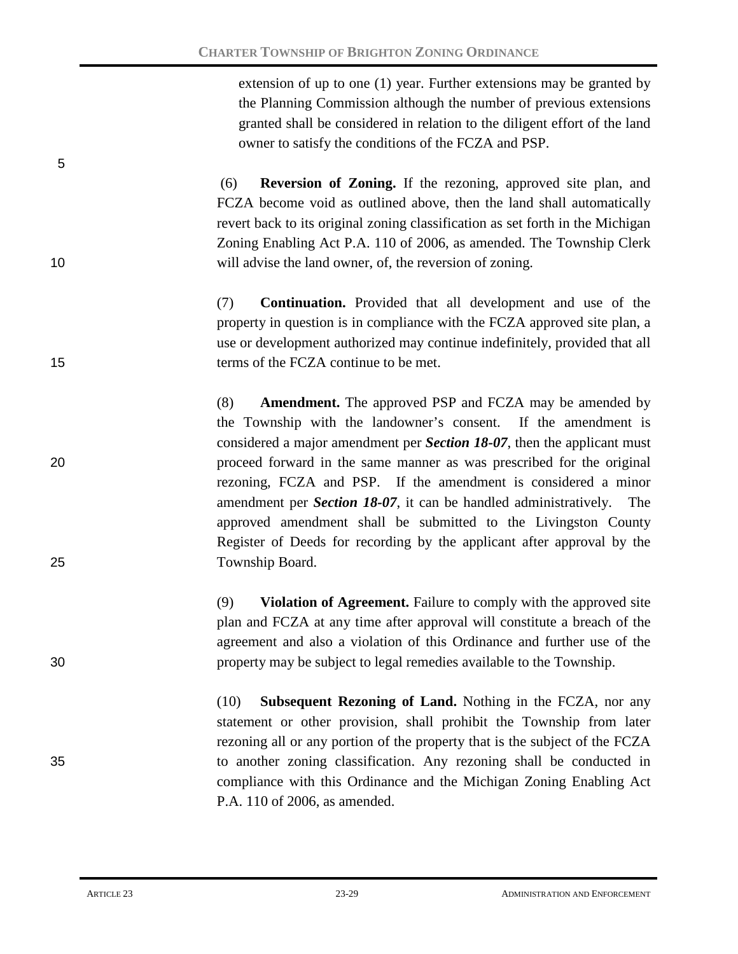extension of up to one (1) year. Further extensions may be granted by the Planning Commission although the number of previous extensions granted shall be considered in relation to the diligent effort of the land owner to satisfy the conditions of the FCZA and PSP.

(6) **Reversion of Zoning.** If the rezoning, approved site plan, and FCZA become void as outlined above, then the land shall automatically revert back to its original zoning classification as set forth in the Michigan Zoning Enabling Act P.A. 110 of 2006, as amended. The Township Clerk 10 will advise the land owner, of, the reversion of zoning.

(7) **Continuation.** Provided that all development and use of the property in question is in compliance with the FCZA approved site plan, a use or development authorized may continue indefinitely, provided that all 15 terms of the FCZA continue to be met.

(8) **Amendment.** The approved PSP and FCZA may be amended by the Township with the landowner's consent. If the amendment is considered a major amendment per *Section 18-07*, then the applicant must 20 proceed forward in the same manner as was prescribed for the original rezoning, FCZA and PSP. If the amendment is considered a minor amendment per *Section 18-07*, it can be handled administratively. The approved amendment shall be submitted to the Livingston County Register of Deeds for recording by the applicant after approval by the 25 Township Board.

(9) **Violation of Agreement.** Failure to comply with the approved site plan and FCZA at any time after approval will constitute a breach of the agreement and also a violation of this Ordinance and further use of the 30 property may be subject to legal remedies available to the Township.

(10) **Subsequent Rezoning of Land.** Nothing in the FCZA, nor any statement or other provision, shall prohibit the Township from later rezoning all or any portion of the property that is the subject of the FCZA 35 to another zoning classification. Any rezoning shall be conducted in compliance with this Ordinance and the Michigan Zoning Enabling Act P.A. 110 of 2006, as amended.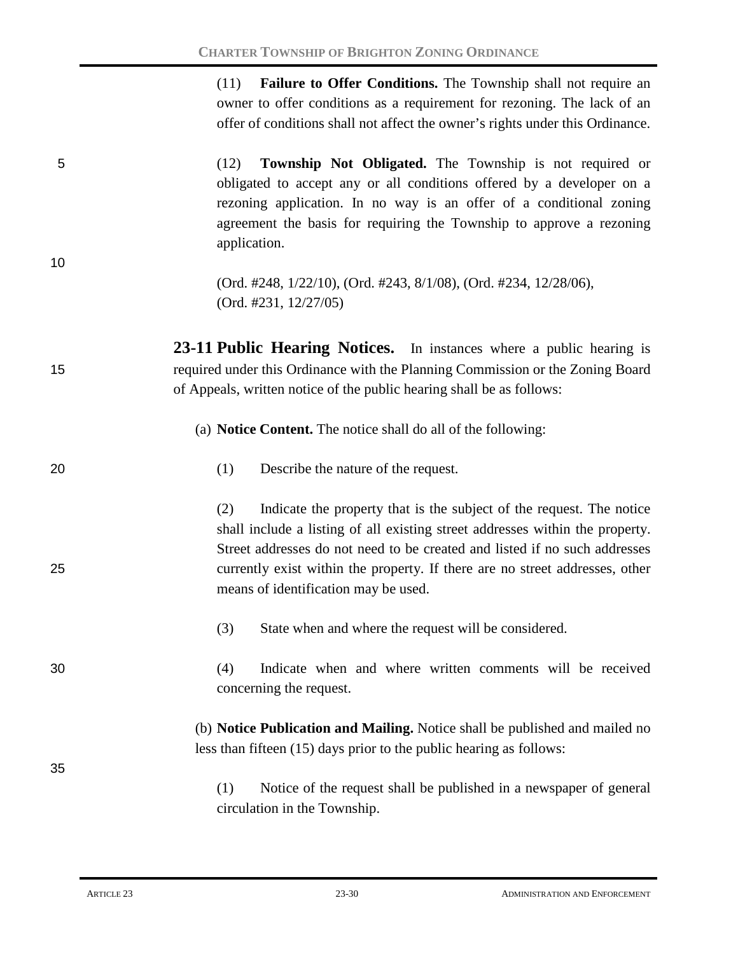(11) **Failure to Offer Conditions.** The Township shall not require an owner to offer conditions as a requirement for rezoning. The lack of an offer of conditions shall not affect the owner's rights under this Ordinance.

5 (12) **Township Not Obligated.** The Township is not required or obligated to accept any or all conditions offered by a developer on a rezoning application. In no way is an offer of a conditional zoning agreement the basis for requiring the Township to approve a rezoning application.

> (Ord. #248, 1/22/10), (Ord. #243, 8/1/08), (Ord. #234, 12/28/06), (Ord. #231, 12/27/05)

**23-11 Public Hearing Notices.** In instances where a public hearing is 15 required under this Ordinance with the Planning Commission or the Zoning Board of Appeals, written notice of the public hearing shall be as follows:

(a) **Notice Content.** The notice shall do all of the following:

20 (1) Describe the nature of the request.

(2) Indicate the property that is the subject of the request. The notice shall include a listing of all existing street addresses within the property. Street addresses do not need to be created and listed if no such addresses 25 currently exist within the property. If there are no street addresses, other means of identification may be used.

- (3) State when and where the request will be considered.
- 30 (4) Indicate when and where written comments will be received concerning the request.

(b) **Notice Publication and Mailing.** Notice shall be published and mailed no less than fifteen (15) days prior to the public hearing as follows:

(1) Notice of the request shall be published in a newspaper of general circulation in the Township.

35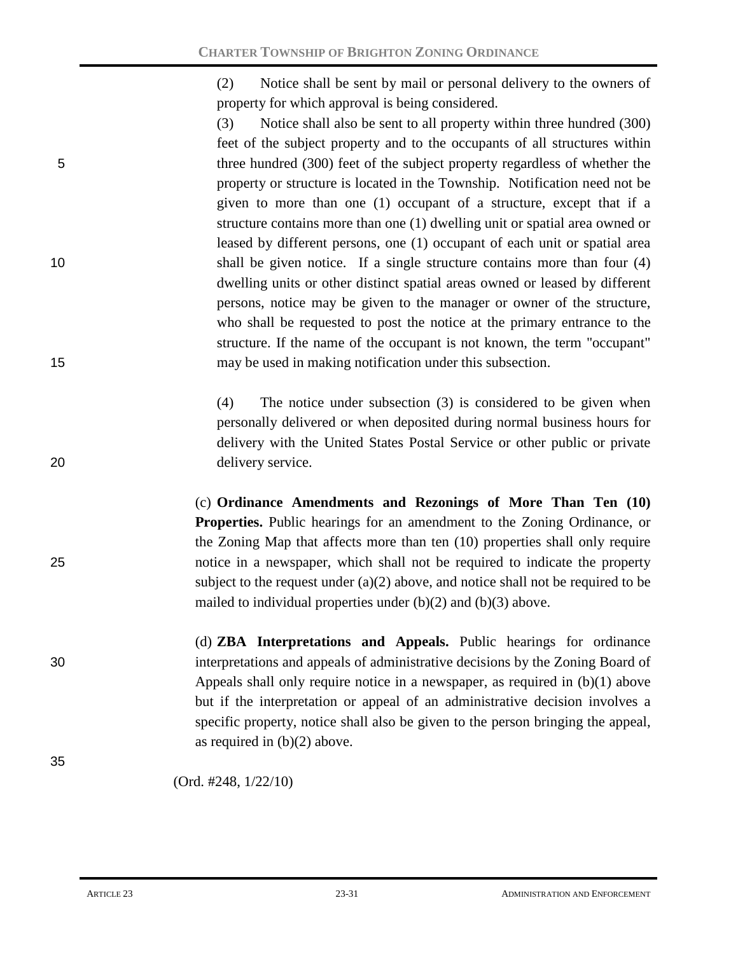(2) Notice shall be sent by mail or personal delivery to the owners of property for which approval is being considered.

(3) Notice shall also be sent to all property within three hundred (300) feet of the subject property and to the occupants of all structures within 5 three hundred (300) feet of the subject property regardless of whether the property or structure is located in the Township. Notification need not be given to more than one (1) occupant of a structure, except that if a structure contains more than one (1) dwelling unit or spatial area owned or leased by different persons, one (1) occupant of each unit or spatial area 10 shall be given notice. If a single structure contains more than four (4) dwelling units or other distinct spatial areas owned or leased by different persons, notice may be given to the manager or owner of the structure, who shall be requested to post the notice at the primary entrance to the structure. If the name of the occupant is not known, the term "occupant" 15 may be used in making notification under this subsection.

(4) The notice under subsection (3) is considered to be given when personally delivered or when deposited during normal business hours for delivery with the United States Postal Service or other public or private 20 delivery service.

(c) **Ordinance Amendments and Rezonings of More Than Ten (10) Properties.** Public hearings for an amendment to the Zoning Ordinance, or the Zoning Map that affects more than ten (10) properties shall only require 25 notice in a newspaper, which shall not be required to indicate the property subject to the request under  $(a)(2)$  above, and notice shall not be required to be mailed to individual properties under (b)(2) and (b)(3) above.

(d) **ZBA Interpretations and Appeals.** Public hearings for ordinance 30 interpretations and appeals of administrative decisions by the Zoning Board of Appeals shall only require notice in a newspaper, as required in (b)(1) above but if the interpretation or appeal of an administrative decision involves a specific property, notice shall also be given to the person bringing the appeal, as required in  $(b)(2)$  above.

(Ord. #248, 1/22/10)